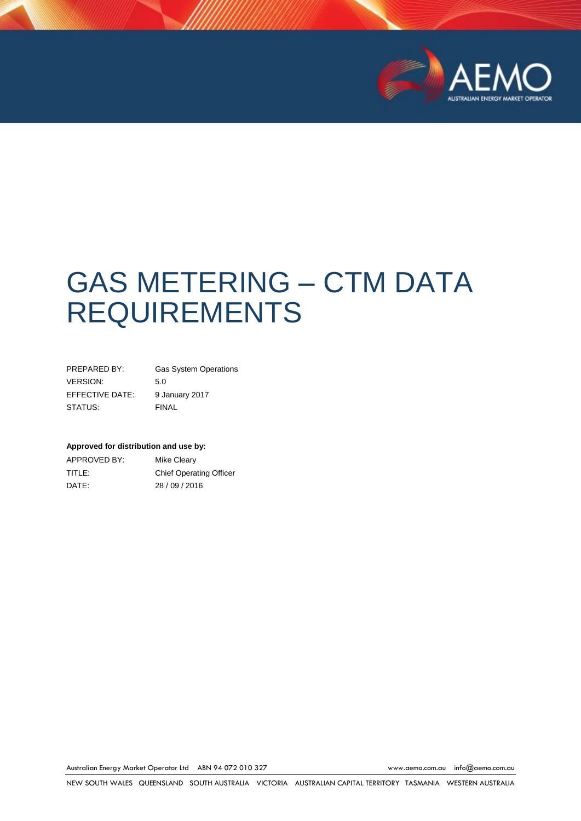

# GAS METERING – CTM DATA REQUIREMENTS

| PREPARED BY:    | <b>Gas System Operations</b> |
|-----------------|------------------------------|
| VERSION:        | 5.0                          |
| EFFECTIVE DATE: | 9 January 2017               |
| STATUS:         | <b>FINAL</b>                 |

#### **Approved for distribution and use by:**

| APPROVED BY: | Mike Cleary                    |
|--------------|--------------------------------|
| TITLE:       | <b>Chief Operating Officer</b> |
| DATE:        | 28/09/2016                     |

Australian Energy Market Operator Ltd ABN 94 072 010 327 [www.aemo.com.au](http://www.aemo.com.au/) [info@aemo.com.au](mailto:info@aemo.com.au)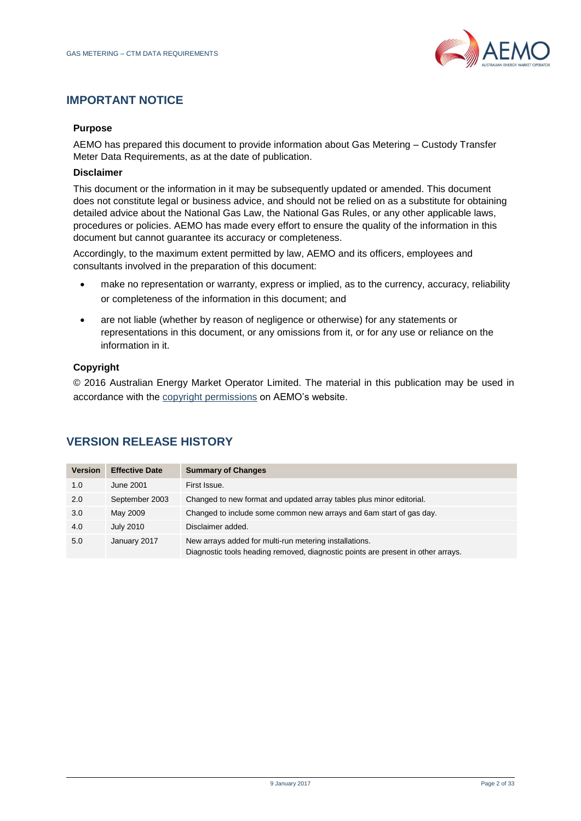

#### **IMPORTANT NOTICE**

#### **Purpose**

AEMO has prepared this document to provide information about Gas Metering – Custody Transfer Meter Data Requirements, as at the date of publication.

#### **Disclaimer**

This document or the information in it may be subsequently updated or amended. This document does not constitute legal or business advice, and should not be relied on as a substitute for obtaining detailed advice about the National Gas Law, the National Gas Rules, or any other applicable laws, procedures or policies. AEMO has made every effort to ensure the quality of the information in this document but cannot guarantee its accuracy or completeness.

Accordingly, to the maximum extent permitted by law, AEMO and its officers, employees and consultants involved in the preparation of this document:

- make no representation or warranty, express or implied, as to the currency, accuracy, reliability or completeness of the information in this document; and
- are not liable (whether by reason of negligence or otherwise) for any statements or representations in this document, or any omissions from it, or for any use or reliance on the information in it.

#### **Copyright**

© 2016 Australian Energy Market Operator Limited. The material in this publication may be used in accordance with the [copyright permissions](http://www.aemo.com.au/About-AEMO/Legal-Notices/Copyright-Permissions) on AEMO's website.

| <b>Version</b> | <b>Effective Date</b> | <b>Summary of Changes</b>                                                                                                                  |
|----------------|-----------------------|--------------------------------------------------------------------------------------------------------------------------------------------|
| 1.0            | <b>June 2001</b>      | First Issue.                                                                                                                               |
| 2.0            | September 2003        | Changed to new format and updated array tables plus minor editorial.                                                                       |
| 3.0            | May 2009              | Changed to include some common new arrays and 6am start of gas day.                                                                        |
| 4.0            | <b>July 2010</b>      | Disclaimer added.                                                                                                                          |
| 5.0            | January 2017          | New arrays added for multi-run metering installations.<br>Diagnostic tools heading removed, diagnostic points are present in other arrays. |

# **VERSION RELEASE HISTORY**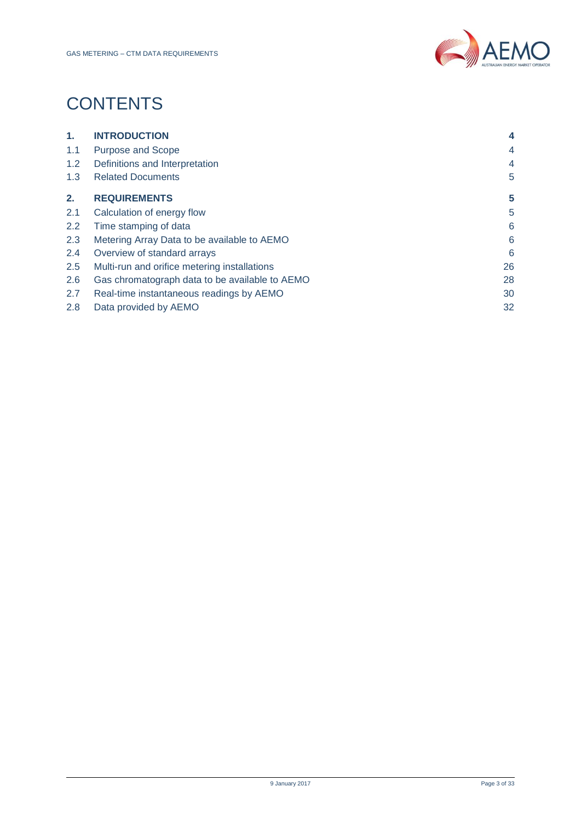

# **CONTENTS**

| 1.               | <b>INTRODUCTION</b>                            | 4              |
|------------------|------------------------------------------------|----------------|
| 1.1              | <b>Purpose and Scope</b>                       | 4              |
| 1.2 <sub>1</sub> | Definitions and Interpretation                 | $\overline{4}$ |
| 1.3              | <b>Related Documents</b>                       | 5              |
| 2.               | <b>REQUIREMENTS</b>                            | 5              |
| 2.1              | Calculation of energy flow                     | 5              |
| 2.2              | Time stamping of data                          | 6              |
| 2.3              | Metering Array Data to be available to AEMO    | 6              |
| 2.4              | Overview of standard arrays                    | 6              |
| 2.5              | Multi-run and orifice metering installations   | 26             |
| 2.6              | Gas chromatograph data to be available to AEMO | 28             |
| 2.7              | Real-time instantaneous readings by AEMO       | 30             |
| 2.8              | Data provided by AEMO                          | 32             |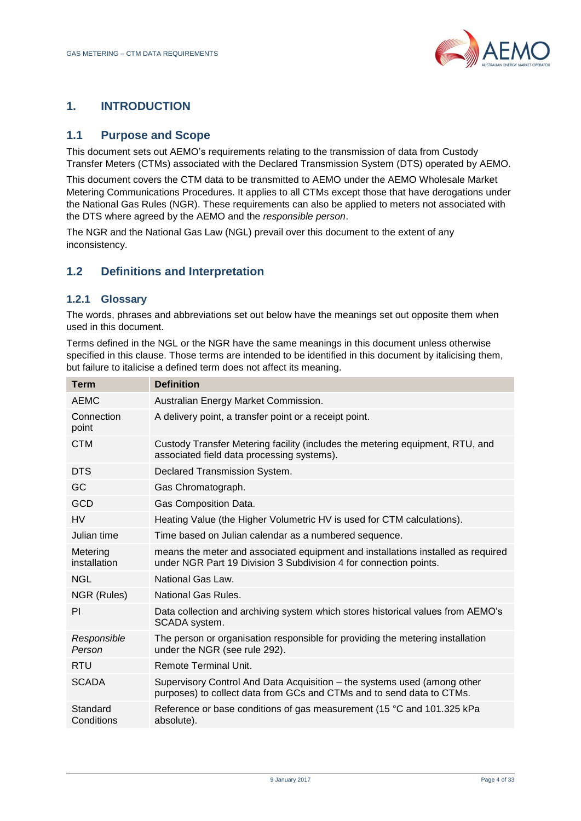

# <span id="page-3-0"></span>**1. INTRODUCTION**

# <span id="page-3-1"></span>**1.1 Purpose and Scope**

This document sets out AEMO's requirements relating to the transmission of data from Custody Transfer Meters (CTMs) associated with the Declared Transmission System (DTS) operated by AEMO.

This document covers the CTM data to be transmitted to AEMO under the AEMO Wholesale Market Metering Communications Procedures. It applies to all CTMs except those that have derogations under the National Gas Rules (NGR). These requirements can also be applied to meters not associated with the DTS where agreed by the AEMO and the *responsible person*.

The NGR and the National Gas Law (NGL) prevail over this document to the extent of any inconsistency.

#### <span id="page-3-2"></span>**1.2 Definitions and Interpretation**

#### **1.2.1 Glossary**

The words, phrases and abbreviations set out below have the meanings set out opposite them when used in this document.

Terms defined in the NGL or the NGR have the same meanings in this document unless otherwise specified in this clause. Those terms are intended to be identified in this document by italicising them, but failure to italicise a defined term does not affect its meaning.

<span id="page-3-3"></span>

| <b>Term</b>              | <b>Definition</b>                                                                                                                                     |
|--------------------------|-------------------------------------------------------------------------------------------------------------------------------------------------------|
| <b>AEMC</b>              | Australian Energy Market Commission.                                                                                                                  |
| Connection<br>point      | A delivery point, a transfer point or a receipt point.                                                                                                |
| <b>CTM</b>               | Custody Transfer Metering facility (includes the metering equipment, RTU, and<br>associated field data processing systems).                           |
| <b>DTS</b>               | Declared Transmission System.                                                                                                                         |
| GC                       | Gas Chromatograph.                                                                                                                                    |
| GCD                      | Gas Composition Data.                                                                                                                                 |
| <b>HV</b>                | Heating Value (the Higher Volumetric HV is used for CTM calculations).                                                                                |
| Julian time              | Time based on Julian calendar as a numbered sequence.                                                                                                 |
| Metering<br>installation | means the meter and associated equipment and installations installed as required<br>under NGR Part 19 Division 3 Subdivision 4 for connection points. |
| <b>NGL</b>               | National Gas Law.                                                                                                                                     |
| NGR (Rules)              | National Gas Rules.                                                                                                                                   |
| PI                       | Data collection and archiving system which stores historical values from AEMO's<br>SCADA system.                                                      |
| Responsible<br>Person    | The person or organisation responsible for providing the metering installation<br>under the NGR (see rule 292).                                       |
| <b>RTU</b>               | Remote Terminal Unit.                                                                                                                                 |
| <b>SCADA</b>             | Supervisory Control And Data Acquisition – the systems used (among other<br>purposes) to collect data from GCs and CTMs and to send data to CTMs.     |
| Standard<br>Conditions   | Reference or base conditions of gas measurement (15 °C and 101.325 kPa<br>absolute).                                                                  |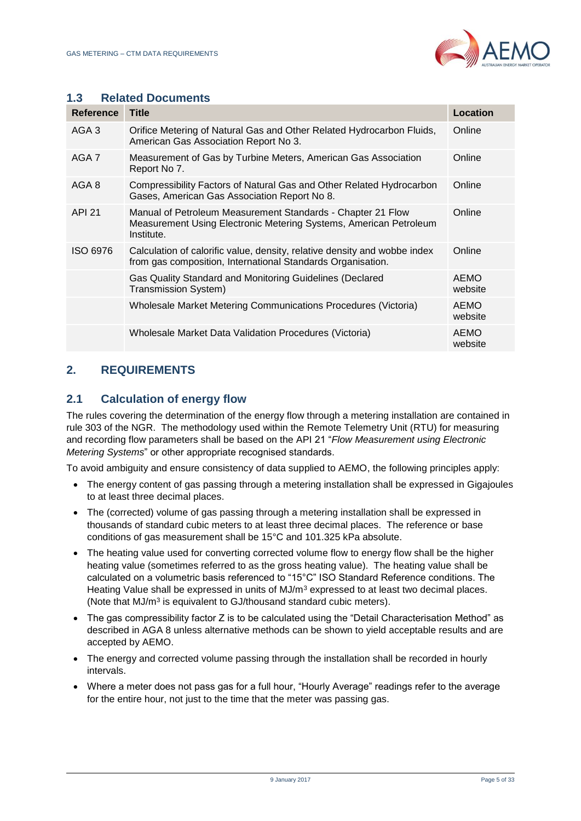

#### **1.3 Related Documents**

| <b>Reference</b> | <b>Title</b>                                                                                                                                   | Location               |
|------------------|------------------------------------------------------------------------------------------------------------------------------------------------|------------------------|
| AGA 3            | Orifice Metering of Natural Gas and Other Related Hydrocarbon Fluids,<br>American Gas Association Report No 3.                                 | Online                 |
| AGA <sub>7</sub> | Measurement of Gas by Turbine Meters, American Gas Association<br>Report No 7.                                                                 | Online                 |
| AGA 8            | Compressibility Factors of Natural Gas and Other Related Hydrocarbon<br>Gases, American Gas Association Report No 8.                           | Online                 |
| <b>API 21</b>    | Manual of Petroleum Measurement Standards - Chapter 21 Flow<br>Measurement Using Electronic Metering Systems, American Petroleum<br>Institute. | Online                 |
| ISO 6976         | Calculation of calorific value, density, relative density and wobbe index<br>from gas composition, International Standards Organisation.       | Online                 |
|                  | Gas Quality Standard and Monitoring Guidelines (Declared<br>Transmission System)                                                               | <b>AEMO</b><br>website |
|                  | Wholesale Market Metering Communications Procedures (Victoria)                                                                                 | <b>AEMO</b><br>website |
|                  | Wholesale Market Data Validation Procedures (Victoria)                                                                                         | <b>AEMO</b><br>website |

# <span id="page-4-0"></span>**2. REQUIREMENTS**

#### <span id="page-4-1"></span>**2.1 Calculation of energy flow**

The rules covering the determination of the energy flow through a metering installation are contained in rule 303 of the NGR. The methodology used within the Remote Telemetry Unit (RTU) for measuring and recording flow parameters shall be based on the API 21 "*Flow Measurement using Electronic Metering Systems*" or other appropriate recognised standards.

To avoid ambiguity and ensure consistency of data supplied to AEMO, the following principles apply:

- The energy content of gas passing through a metering installation shall be expressed in Gigajoules to at least three decimal places.
- The (corrected) volume of gas passing through a metering installation shall be expressed in thousands of standard cubic meters to at least three decimal places. The reference or base conditions of gas measurement shall be 15°C and 101.325 kPa absolute.
- The heating value used for converting corrected volume flow to energy flow shall be the higher heating value (sometimes referred to as the gross heating value). The heating value shall be calculated on a volumetric basis referenced to "15°C" ISO Standard Reference conditions. The Heating Value shall be expressed in units of MJ/m<sup>3</sup> expressed to at least two decimal places. (Note that MJ/m<sup>3</sup> is equivalent to GJ/thousand standard cubic meters).
- The gas compressibility factor Z is to be calculated using the "Detail Characterisation Method" as described in AGA 8 unless alternative methods can be shown to yield acceptable results and are accepted by AEMO.
- The energy and corrected volume passing through the installation shall be recorded in hourly intervals.
- <span id="page-4-2"></span> Where a meter does not pass gas for a full hour, "Hourly Average" readings refer to the average for the entire hour, not just to the time that the meter was passing gas.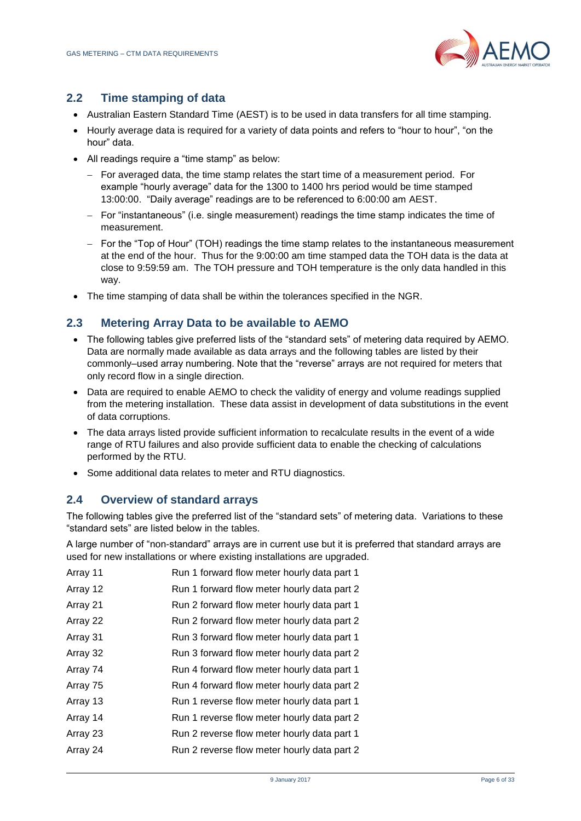

# **2.2 Time stamping of data**

- Australian Eastern Standard Time (AEST) is to be used in data transfers for all time stamping.
- Hourly average data is required for a variety of data points and refers to "hour to hour", "on the hour" data.
- All readings require a "time stamp" as below:
	- $-$  For averaged data, the time stamp relates the start time of a measurement period. For example "hourly average" data for the 1300 to 1400 hrs period would be time stamped 13:00:00. "Daily average" readings are to be referenced to 6:00:00 am AEST.
	- $-$  For "instantaneous" (i.e. single measurement) readings the time stamp indicates the time of measurement.
	- For the "Top of Hour" (TOH) readings the time stamp relates to the instantaneous measurement at the end of the hour. Thus for the 9:00:00 am time stamped data the TOH data is the data at close to 9:59:59 am. The TOH pressure and TOH temperature is the only data handled in this way.
- The time stamping of data shall be within the tolerances specified in the NGR.

# <span id="page-5-0"></span>**2.3 Metering Array Data to be available to AEMO**

- The following tables give preferred lists of the "standard sets" of metering data required by AEMO. Data are normally made available as data arrays and the following tables are listed by their commonly–used array numbering. Note that the "reverse" arrays are not required for meters that only record flow in a single direction.
- Data are required to enable AEMO to check the validity of energy and volume readings supplied from the metering installation. These data assist in development of data substitutions in the event of data corruptions.
- The data arrays listed provide sufficient information to recalculate results in the event of a wide range of RTU failures and also provide sufficient data to enable the checking of calculations performed by the RTU.
- Some additional data relates to meter and RTU diagnostics.

#### <span id="page-5-1"></span>**2.4 Overview of standard arrays**

The following tables give the preferred list of the "standard sets" of metering data. Variations to these "standard sets" are listed below in the tables.

A large number of "non-standard" arrays are in current use but it is preferred that standard arrays are used for new installations or where existing installations are upgraded.

| Array 11 | Run 1 forward flow meter hourly data part 1 |
|----------|---------------------------------------------|
| Array 12 | Run 1 forward flow meter hourly data part 2 |
| Array 21 | Run 2 forward flow meter hourly data part 1 |
| Array 22 | Run 2 forward flow meter hourly data part 2 |
| Array 31 | Run 3 forward flow meter hourly data part 1 |
| Array 32 | Run 3 forward flow meter hourly data part 2 |
| Array 74 | Run 4 forward flow meter hourly data part 1 |
| Array 75 | Run 4 forward flow meter hourly data part 2 |
| Array 13 | Run 1 reverse flow meter hourly data part 1 |
| Array 14 | Run 1 reverse flow meter hourly data part 2 |
| Array 23 | Run 2 reverse flow meter hourly data part 1 |
| Array 24 | Run 2 reverse flow meter hourly data part 2 |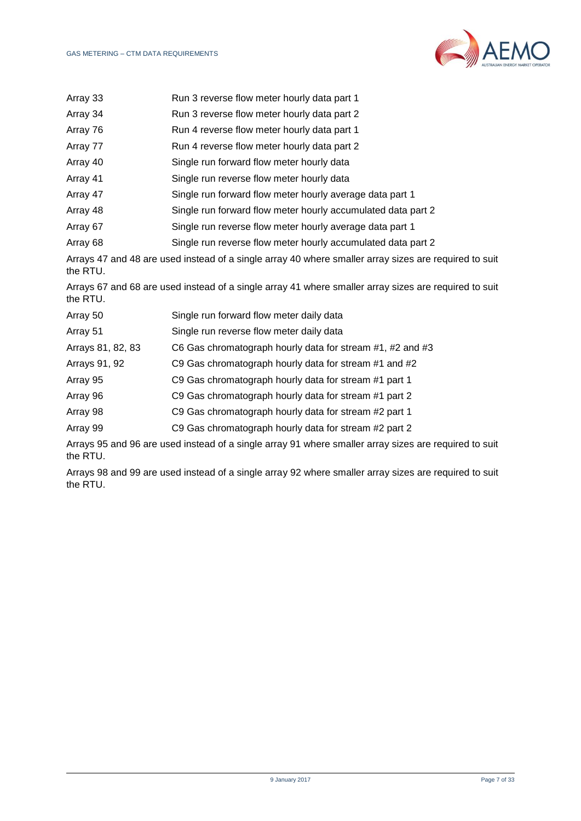

| Array 33          | Run 3 reverse flow meter hourly data part 1                                                           |
|-------------------|-------------------------------------------------------------------------------------------------------|
| Array 34          | Run 3 reverse flow meter hourly data part 2                                                           |
| Array 76          | Run 4 reverse flow meter hourly data part 1                                                           |
| Array 77          | Run 4 reverse flow meter hourly data part 2                                                           |
| Array 40          | Single run forward flow meter hourly data                                                             |
| Array 41          | Single run reverse flow meter hourly data                                                             |
| Array 47          | Single run forward flow meter hourly average data part 1                                              |
| Array 48          | Single run forward flow meter hourly accumulated data part 2                                          |
| Array 67          | Single run reverse flow meter hourly average data part 1                                              |
| Array 68          | Single run reverse flow meter hourly accumulated data part 2                                          |
| the RTU.          | Arrays 47 and 48 are used instead of a single array 40 where smaller array sizes are required to suit |
| the RTU.          | Arrays 67 and 68 are used instead of a single array 41 where smaller array sizes are required to suit |
| Array 50          | Single run forward flow meter daily data                                                              |
| Array 51          | Single run reverse flow meter daily data                                                              |
| Arrays 81, 82, 83 | C6 Gas chromatograph hourly data for stream #1, #2 and #3                                             |
| Arrays 91, 92     | C9 Gas chromatograph hourly data for stream #1 and #2                                                 |
| Array 95          | C9 Gas chromatograph hourly data for stream #1 part 1                                                 |
| Array 96          | C9 Gas chromatograph hourly data for stream #1 part 2                                                 |
| Array 98          | C9 Gas chromatograph hourly data for stream #2 part 1                                                 |
| Array 99          | C9 Gas chromatograph hourly data for stream #2 part 2                                                 |
|                   |                                                                                                       |

Arrays 95 and 96 are used instead of a single array 91 where smaller array sizes are required to suit the RTU.

Arrays 98 and 99 are used instead of a single array 92 where smaller array sizes are required to suit the RTU.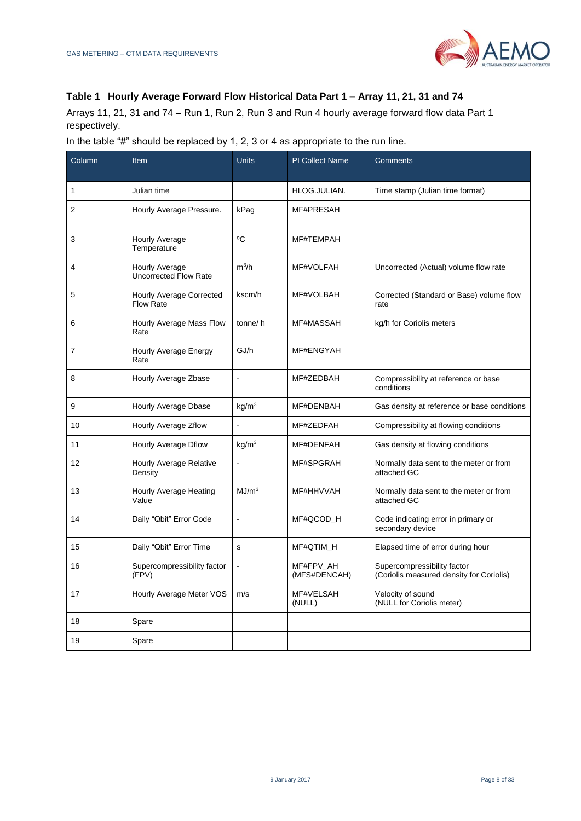#### **Table 1 Hourly Average Forward Flow Historical Data Part 1 – Array 11, 21, 31 and 74**

Arrays 11, 21, 31 and 74 – Run 1, Run 2, Run 3 and Run 4 hourly average forward flow data Part 1 respectively.

| In the table "#" should be replaced by 1, 2, 3 or 4 as appropriate to the run line. |  |
|-------------------------------------------------------------------------------------|--|
|-------------------------------------------------------------------------------------|--|

| Column         | Item                                                | <b>Units</b>      | <b>PI Collect Name</b>    | <b>Comments</b>                                                         |
|----------------|-----------------------------------------------------|-------------------|---------------------------|-------------------------------------------------------------------------|
| 1              | Julian time                                         |                   | HLOG.JULIAN.              | Time stamp (Julian time format)                                         |
| $\overline{2}$ | Hourly Average Pressure.                            | kPag              | MF#PRESAH                 |                                                                         |
| 3              | <b>Hourly Average</b><br>Temperature                | $^{\circ}$ C      | MF#TEMPAH                 |                                                                         |
| 4              | Hourly Average<br><b>Uncorrected Flow Rate</b>      | $m^3/h$           | MF#VOLFAH                 | Uncorrected (Actual) volume flow rate                                   |
| 5              | <b>Hourly Average Corrected</b><br><b>Flow Rate</b> | kscm/h            | MF#VOLBAH                 | Corrected (Standard or Base) volume flow<br>rate                        |
| 6              | Hourly Average Mass Flow<br>Rate                    | tonne/h           | MF#MASSAH                 | kg/h for Coriolis meters                                                |
| 7              | Hourly Average Energy<br>Rate                       | GJ/h              | MF#ENGYAH                 |                                                                         |
| 8              | Hourly Average Zbase                                | $\overline{a}$    | MF#ZEDBAH                 | Compressibility at reference or base<br>conditions                      |
| 9              | Hourly Average Dbase                                | kg/m <sup>3</sup> | MF#DENBAH                 | Gas density at reference or base conditions                             |
| 10             | Hourly Average Zflow                                |                   | MF#ZEDFAH                 | Compressibility at flowing conditions                                   |
| 11             | Hourly Average Dflow                                | kg/m <sup>3</sup> | MF#DENFAH                 | Gas density at flowing conditions                                       |
| 12             | <b>Hourly Average Relative</b><br>Density           |                   | MF#SPGRAH                 | Normally data sent to the meter or from<br>attached GC                  |
| 13             | Hourly Average Heating<br>Value                     | MJ/m <sup>3</sup> | MF#HHVVAH                 | Normally data sent to the meter or from<br>attached GC                  |
| 14             | Daily "Qbit" Error Code                             | $\overline{a}$    | MF#QCOD H                 | Code indicating error in primary or<br>secondary device                 |
| 15             | Daily "Qbit" Error Time                             | s                 | MF#QTIM_H                 | Elapsed time of error during hour                                       |
| 16             | Supercompressibility factor<br>(FPV)                |                   | MF#FPV_AH<br>(MFS#DENCAH) | Supercompressibility factor<br>(Coriolis measured density for Coriolis) |
| 17             | Hourly Average Meter VOS                            | m/s               | MF#VELSAH<br>(NULL)       | Velocity of sound<br>(NULL for Coriolis meter)                          |
| 18             | Spare                                               |                   |                           |                                                                         |
| 19             | Spare                                               |                   |                           |                                                                         |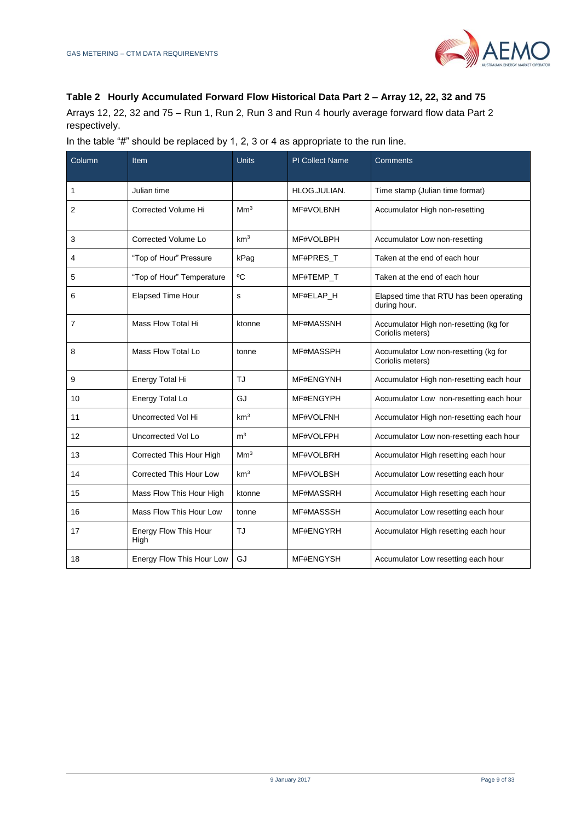

#### **Table 2 Hourly Accumulated Forward Flow Historical Data Part 2 – Array 12, 22, 32 and 75**

Arrays 12, 22, 32 and 75 – Run 1, Run 2, Run 3 and Run 4 hourly average forward flow data Part 2 respectively.

|  | In the table "#" should be replaced by 1, 2, 3 or 4 as appropriate to the run line. |
|--|-------------------------------------------------------------------------------------|
|  |                                                                                     |

| Column | Item                          | <b>Units</b>    | <b>PI Collect Name</b> | Comments                                                   |
|--------|-------------------------------|-----------------|------------------------|------------------------------------------------------------|
| 1      | Julian time                   |                 | HLOG.JULIAN.           | Time stamp (Julian time format)                            |
| 2      | Corrected Volume Hi           | Mm <sup>3</sup> | MF#VOLBNH              | Accumulator High non-resetting                             |
| 3      | Corrected Volume Lo           | km <sup>3</sup> | MF#VOLBPH              | Accumulator Low non-resetting                              |
| 4      | "Top of Hour" Pressure        | kPag            | MF#PRES_T              | Taken at the end of each hour                              |
| 5      | "Top of Hour" Temperature     | $^{\circ}$ C    | MF#TEMP_T              | Taken at the end of each hour                              |
| 6      | <b>Elapsed Time Hour</b>      | s               | MF#ELAP H              | Elapsed time that RTU has been operating<br>during hour.   |
| 7      | Mass Flow Total Hi            | ktonne          | MF#MASSNH              | Accumulator High non-resetting (kg for<br>Coriolis meters) |
| 8      | Mass Flow Total Lo            | tonne           | MF#MASSPH              | Accumulator Low non-resetting (kg for<br>Coriolis meters)  |
| 9      | Energy Total Hi               | TJ              | MF#ENGYNH              | Accumulator High non-resetting each hour                   |
| 10     | Energy Total Lo               | GJ              | MF#ENGYPH              | Accumulator Low non-resetting each hour                    |
| 11     | Uncorrected Vol Hi            | km <sup>3</sup> | MF#VOLFNH              | Accumulator High non-resetting each hour                   |
| 12     | Uncorrected Vol Lo            | m <sup>3</sup>  | MF#VOLFPH              | Accumulator Low non-resetting each hour                    |
| 13     | Corrected This Hour High      | Mm <sup>3</sup> | MF#VOLBRH              | Accumulator High resetting each hour                       |
| 14     | Corrected This Hour Low       | km <sup>3</sup> | MF#VOLBSH              | Accumulator Low resetting each hour                        |
| 15     | Mass Flow This Hour High      | ktonne          | MF#MASSRH              | Accumulator High resetting each hour                       |
| 16     | Mass Flow This Hour Low       | tonne           | MF#MASSSH              | Accumulator Low resetting each hour                        |
| 17     | Energy Flow This Hour<br>High | TJ              | MF#ENGYRH              | Accumulator High resetting each hour                       |
| 18     | Energy Flow This Hour Low     | GJ              | MF#ENGYSH              | Accumulator Low resetting each hour                        |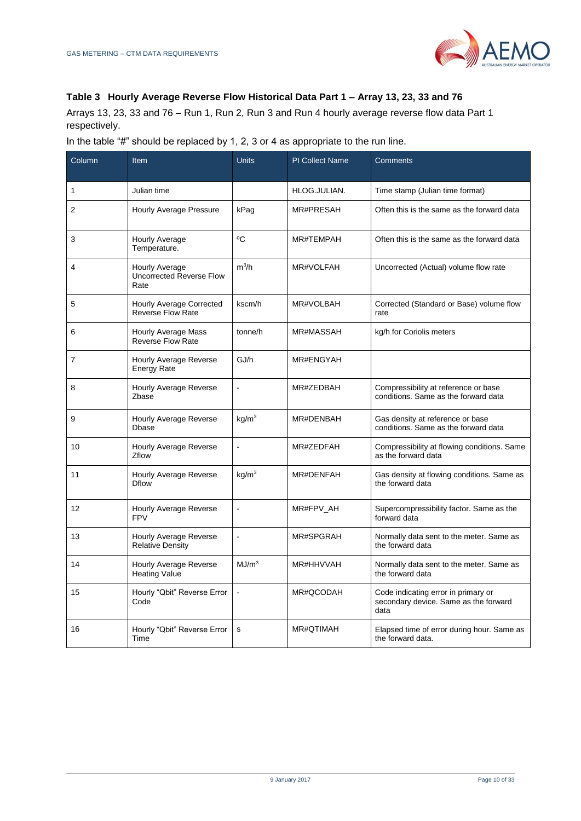

#### **Table 3 Hourly Average Reverse Flow Historical Data Part 1 – Array 13, 23, 33 and 76**

Arrays 13, 23, 33 and 76 – Run 1, Run 2, Run 3 and Run 4 hourly average reverse flow data Part 1 respectively.

In the table "#" should be replaced by 1, 2, 3 or 4 as appropriate to the run line.

| Column         | Item                                                      | <b>Units</b>         | <b>PI Collect Name</b> | Comments                                                                             |
|----------------|-----------------------------------------------------------|----------------------|------------------------|--------------------------------------------------------------------------------------|
| 1              | Julian time                                               |                      | HLOG.JULIAN.           | Time stamp (Julian time format)                                                      |
| $\overline{2}$ | Hourly Average Pressure                                   | kPag                 | MR#PRESAH              | Often this is the same as the forward data                                           |
| 3              | Hourly Average<br>Temperature.                            | °C                   | MR#TEMPAH              | Often this is the same as the forward data                                           |
| 4              | Hourly Average<br><b>Uncorrected Reverse Flow</b><br>Rate | $m^3/h$              | MR#VOLFAH              | Uncorrected (Actual) volume flow rate                                                |
| 5              | Hourly Average Corrected<br><b>Reverse Flow Rate</b>      | kscm/h               | MR#VOLBAH              | Corrected (Standard or Base) volume flow<br>rate                                     |
| 6              | <b>Hourly Average Mass</b><br>Reverse Flow Rate           | tonne/h              | MR#MASSAH              | kg/h for Coriolis meters                                                             |
| $\overline{7}$ | Hourly Average Reverse<br><b>Energy Rate</b>              | GJ/h                 | MR#ENGYAH              |                                                                                      |
| 8              | Hourly Average Reverse<br>Zbase                           |                      | MR#ZEDBAH              | Compressibility at reference or base<br>conditions. Same as the forward data         |
| 9              | <b>Hourly Average Reverse</b><br>Dbase                    | kg/m <sup>3</sup>    | MR#DENBAH              | Gas density at reference or base<br>conditions. Same as the forward data             |
| 10             | Hourly Average Reverse<br><b>Zflow</b>                    | $\ddot{\phantom{1}}$ | MR#ZEDFAH              | Compressibility at flowing conditions. Same<br>as the forward data                   |
| 11             | Hourly Average Reverse<br><b>Dflow</b>                    | kq/m <sup>3</sup>    | MR#DENFAH              | Gas density at flowing conditions. Same as<br>the forward data                       |
| 12             | <b>Hourly Average Reverse</b><br><b>FPV</b>               |                      | MR#FPV_AH              | Supercompressibility factor. Same as the<br>forward data                             |
| 13             | <b>Hourly Average Reverse</b><br><b>Relative Density</b>  |                      | MR#SPGRAH              | Normally data sent to the meter. Same as<br>the forward data                         |
| 14             | <b>Hourly Average Reverse</b><br><b>Heating Value</b>     | MJ/m <sup>3</sup>    | MR#HHVVAH              | Normally data sent to the meter. Same as<br>the forward data                         |
| 15             | Hourly "Qbit" Reverse Error<br>Code                       | $\ddot{\phantom{1}}$ | MR#QCODAH              | Code indicating error in primary or<br>secondary device. Same as the forward<br>data |
| 16             | Hourly "Qbit" Reverse Error<br>Time                       | S                    | MR#OTIMAH              | Elapsed time of error during hour. Same as<br>the forward data.                      |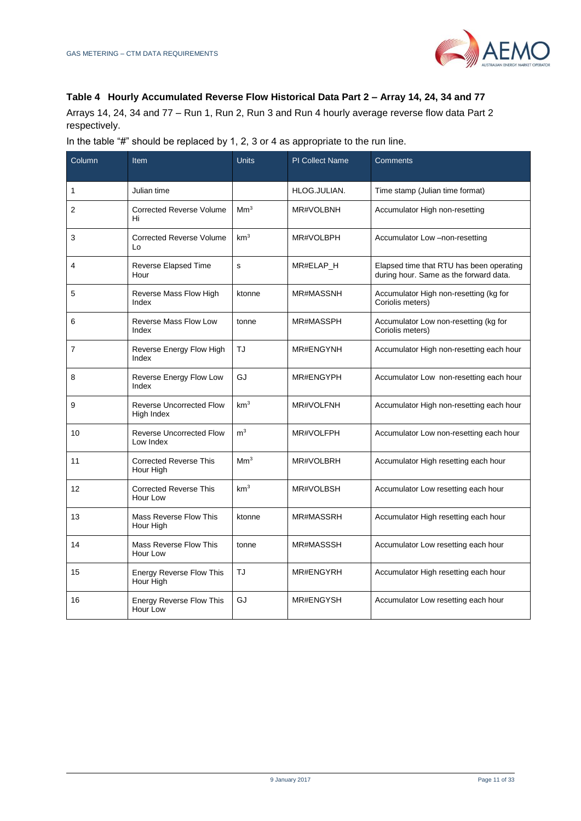

#### **Table 4 Hourly Accumulated Reverse Flow Historical Data Part 2 – Array 14, 24, 34 and 77**

Arrays 14, 24, 34 and 77 – Run 1, Run 2, Run 3 and Run 4 hourly average reverse flow data Part 2 respectively.

In the table "#" should be replaced by 1, 2, 3 or 4 as appropriate to the run line.

| Column       | Item                                          | <b>Units</b>    | <b>PI Collect Name</b> | Comments                                                                           |
|--------------|-----------------------------------------------|-----------------|------------------------|------------------------------------------------------------------------------------|
| $\mathbf{1}$ | Julian time                                   |                 | HLOG.JULIAN.           | Time stamp (Julian time format)                                                    |
| 2            | <b>Corrected Reverse Volume</b><br>Hi         | Mm <sup>3</sup> | MR#VOLBNH              | Accumulator High non-resetting                                                     |
| 3            | <b>Corrected Reverse Volume</b><br>Lo         | km <sup>3</sup> | MR#VOLBPH              | Accumulator Low -non-resetting                                                     |
| 4            | <b>Reverse Elapsed Time</b><br>Hour           | s               | MR#ELAP_H              | Elapsed time that RTU has been operating<br>during hour. Same as the forward data. |
| 5            | Reverse Mass Flow High<br>Index               | ktonne          | <b>MR#MASSNH</b>       | Accumulator High non-resetting (kg for<br>Coriolis meters)                         |
| 6            | <b>Reverse Mass Flow Low</b><br>Index         | tonne           | MR#MASSPH              | Accumulator Low non-resetting (kg for<br>Coriolis meters)                          |
| 7            | Reverse Energy Flow High<br>Index             | <b>TJ</b>       | MR#ENGYNH              | Accumulator High non-resetting each hour                                           |
| 8            | Reverse Energy Flow Low<br>Index              | GJ              | MR#ENGYPH              | Accumulator Low non-resetting each hour                                            |
| 9            | <b>Reverse Uncorrected Flow</b><br>High Index | km <sup>3</sup> | MR#VOLFNH              | Accumulator High non-resetting each hour                                           |
| 10           | <b>Reverse Uncorrected Flow</b><br>Low Index  | m <sup>3</sup>  | MR#VOLFPH              | Accumulator Low non-resetting each hour                                            |
| 11           | <b>Corrected Reverse This</b><br>Hour High    | Mm <sup>3</sup> | MR#VOLBRH              | Accumulator High resetting each hour                                               |
| 12           | <b>Corrected Reverse This</b><br>Hour Low     | km <sup>3</sup> | MR#VOLBSH              | Accumulator Low resetting each hour                                                |
| 13           | Mass Reverse Flow This<br>Hour High           | ktonne          | <b>MR#MASSRH</b>       | Accumulator High resetting each hour                                               |
| 14           | Mass Reverse Flow This<br>Hour Low            | tonne           | MR#MASSSH              | Accumulator Low resetting each hour                                                |
| 15           | <b>Energy Reverse Flow This</b><br>Hour High  | TJ              | MR#ENGYRH              | Accumulator High resetting each hour                                               |
| 16           | <b>Energy Reverse Flow This</b><br>Hour Low   | GJ              | MR#ENGYSH              | Accumulator Low resetting each hour                                                |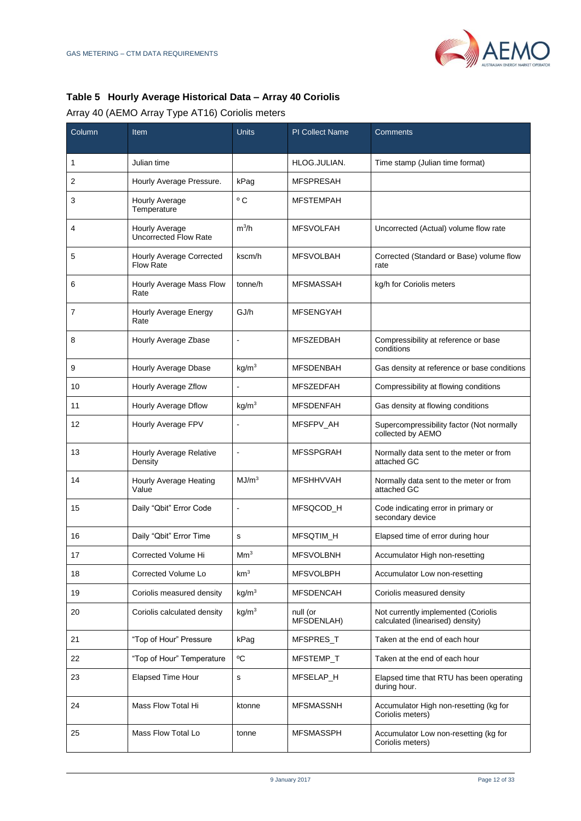

# **Table 5 Hourly Average Historical Data – Array 40 Coriolis**

# Array 40 (AEMO Array Type AT16) Coriolis meters

| Column | Item                                           | <b>Units</b>         | <b>PI Collect Name</b> | Comments                                                                |
|--------|------------------------------------------------|----------------------|------------------------|-------------------------------------------------------------------------|
| 1      | Julian time                                    |                      | HLOG.JULIAN.           | Time stamp (Julian time format)                                         |
| 2      | Hourly Average Pressure.                       | kPag                 | <b>MFSPRESAH</b>       |                                                                         |
| 3      | Hourly Average<br>Temperature                  | $^{\circ}$ C         | <b>MFSTEMPAH</b>       |                                                                         |
| 4      | Hourly Average<br><b>Uncorrected Flow Rate</b> | $m^3/h$              | <b>MFSVOLFAH</b>       | Uncorrected (Actual) volume flow rate                                   |
| 5      | Hourly Average Corrected<br><b>Flow Rate</b>   | kscm/h               | <b>MFSVOLBAH</b>       | Corrected (Standard or Base) volume flow<br>rate                        |
| 6      | Hourly Average Mass Flow<br>Rate               | tonne/h              | MFSMASSAH              | kg/h for Coriolis meters                                                |
| 7      | Hourly Average Energy<br>Rate                  | GJ/h                 | <b>MFSENGYAH</b>       |                                                                         |
| 8      | Hourly Average Zbase                           |                      | <b>MFSZEDBAH</b>       | Compressibility at reference or base<br>conditions                      |
| 9      | Hourly Average Dbase                           | kg/m <sup>3</sup>    | <b>MFSDENBAH</b>       | Gas density at reference or base conditions                             |
| 10     | Hourly Average Zflow                           |                      | <b>MFSZEDFAH</b>       | Compressibility at flowing conditions                                   |
| 11     | Hourly Average Dflow                           | kg/m <sup>3</sup>    | <b>MFSDENFAH</b>       | Gas density at flowing conditions                                       |
| 12     | Hourly Average FPV                             |                      | MFSFPV_AH              | Supercompressibility factor (Not normally<br>collected by AEMO          |
| 13     | Hourly Average Relative<br>Density             | $\ddot{\phantom{1}}$ | <b>MFSSPGRAH</b>       | Normally data sent to the meter or from<br>attached GC                  |
| 14     | Hourly Average Heating<br>Value                | MJ/m <sup>3</sup>    | <b>MFSHHVVAH</b>       | Normally data sent to the meter or from<br>attached GC                  |
| 15     | Daily "Qbit" Error Code                        | ÷,                   | MFSQCOD H              | Code indicating error in primary or<br>secondary device                 |
| 16     | Daily "Qbit" Error Time                        | s                    | MFSQTIM_H              | Elapsed time of error during hour                                       |
| 17     | Corrected Volume Hi                            | Mm <sup>3</sup>      | <b>MFSVOLBNH</b>       | Accumulator High non-resetting                                          |
| 18     | Corrected Volume Lo                            | km <sup>3</sup>      | <b>MFSVOLBPH</b>       | Accumulator Low non-resetting                                           |
| 19     | Coriolis measured density                      | kg/m <sup>3</sup>    | <b>MFSDENCAH</b>       | Coriolis measured density                                               |
| 20     | Coriolis calculated density                    | kg/m <sup>3</sup>    | null (or<br>MFSDENLAH) | Not currently implemented (Coriolis<br>calculated (linearised) density) |
| 21     | "Top of Hour" Pressure                         | kPag                 | MFSPRES_T              | Taken at the end of each hour                                           |
| 22     | "Top of Hour" Temperature                      | ٥C                   | MFSTEMP_T              | Taken at the end of each hour                                           |
| 23     | <b>Elapsed Time Hour</b>                       | s                    | MFSELAP_H              | Elapsed time that RTU has been operating<br>during hour.                |
| 24     | Mass Flow Total Hi                             | ktonne               | <b>MFSMASSNH</b>       | Accumulator High non-resetting (kg for<br>Coriolis meters)              |
| 25     | Mass Flow Total Lo                             | tonne                | <b>MFSMASSPH</b>       | Accumulator Low non-resetting (kg for<br>Coriolis meters)               |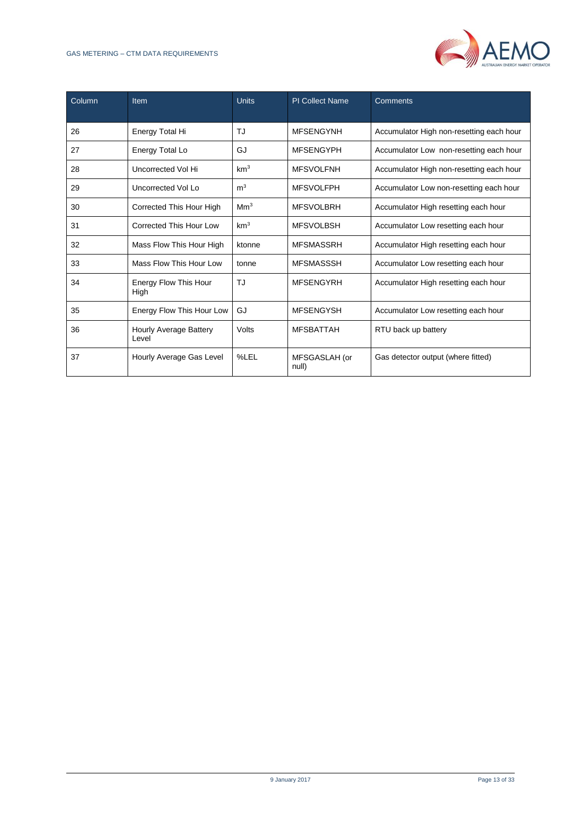#### GAS METERING – CTM DATA REQUIREMENTS



| Column | <b>Item</b>                     | <b>Units</b>    | <b>PI Collect Name</b> | Comments                                 |
|--------|---------------------------------|-----------------|------------------------|------------------------------------------|
| 26     | Energy Total Hi                 | TJ              | <b>MFSENGYNH</b>       | Accumulator High non-resetting each hour |
| 27     | Energy Total Lo                 | GJ              | <b>MFSENGYPH</b>       | Accumulator Low non-resetting each hour  |
| 28     | Uncorrected Vol Hi              | km <sup>3</sup> | <b>MFSVOLFNH</b>       | Accumulator High non-resetting each hour |
| 29     | Uncorrected Vol Lo              | m <sup>3</sup>  | <b>MFSVOLFPH</b>       | Accumulator Low non-resetting each hour  |
| 30     | Corrected This Hour High        | Mm <sup>3</sup> | <b>MFSVOLBRH</b>       | Accumulator High resetting each hour     |
| 31     | Corrected This Hour Low         | km <sup>3</sup> | <b>MFSVOLBSH</b>       | Accumulator Low resetting each hour      |
| 32     | Mass Flow This Hour High        | ktonne          | <b>MFSMASSRH</b>       | Accumulator High resetting each hour     |
| 33     | Mass Flow This Hour Low         | tonne           | <b>MFSMASSSH</b>       | Accumulator Low resetting each hour      |
| 34     | Energy Flow This Hour<br>High   | TJ              | <b>MFSENGYRH</b>       | Accumulator High resetting each hour     |
| 35     | Energy Flow This Hour Low       | GJ              | <b>MFSENGYSH</b>       | Accumulator Low resetting each hour      |
| 36     | Hourly Average Battery<br>Level | Volts           | <b>MFSBATTAH</b>       | RTU back up battery                      |
| 37     | Hourly Average Gas Level        | %LEL            | MFSGASLAH (or<br>null) | Gas detector output (where fitted)       |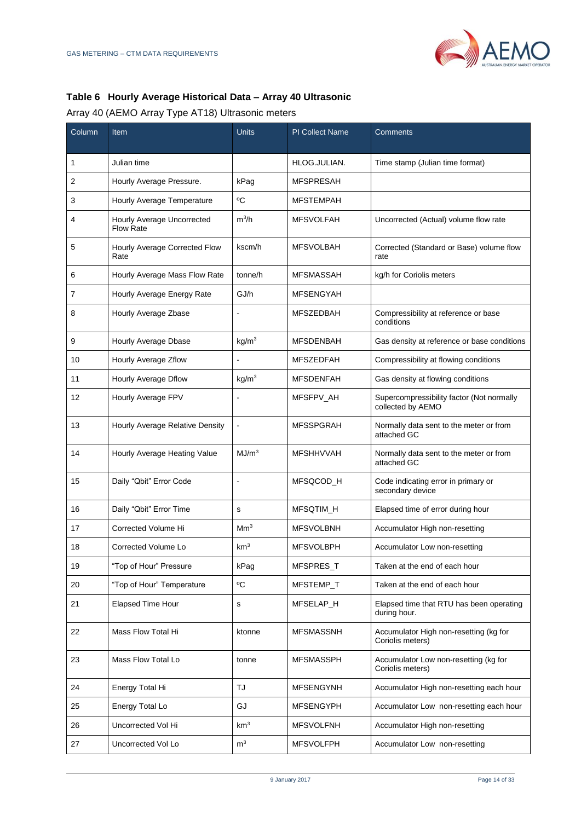

# **Table 6 Hourly Average Historical Data – Array 40 Ultrasonic**

# Array 40 (AEMO Array Type AT18) Ultrasonic meters

| Column | Item                                           | <b>Units</b>             | <b>PI Collect Name</b> | Comments                                                       |
|--------|------------------------------------------------|--------------------------|------------------------|----------------------------------------------------------------|
| 1      | Julian time                                    |                          | HLOG.JULIAN.           | Time stamp (Julian time format)                                |
| 2      | Hourly Average Pressure.                       | kPag                     | <b>MFSPRESAH</b>       |                                                                |
| 3      | Hourly Average Temperature                     | °C                       | <b>MFSTEMPAH</b>       |                                                                |
| 4      | Hourly Average Uncorrected<br><b>Flow Rate</b> | $m^3/h$                  | <b>MFSVOLFAH</b>       | Uncorrected (Actual) volume flow rate                          |
| 5      | Hourly Average Corrected Flow<br>Rate          | kscm/h                   | <b>MFSVOLBAH</b>       | Corrected (Standard or Base) volume flow<br>rate               |
| 6      | Hourly Average Mass Flow Rate                  | tonne/h                  | <b>MFSMASSAH</b>       | kg/h for Coriolis meters                                       |
| 7      | Hourly Average Energy Rate                     | GJ/h                     | <b>MFSENGYAH</b>       |                                                                |
| 8      | Hourly Average Zbase                           | L,                       | <b>MFSZEDBAH</b>       | Compressibility at reference or base<br>conditions             |
| 9      | Hourly Average Dbase                           | kg/m <sup>3</sup>        | <b>MFSDENBAH</b>       | Gas density at reference or base conditions                    |
| 10     | Hourly Average Zflow                           | $\overline{a}$           | <b>MFSZEDFAH</b>       | Compressibility at flowing conditions                          |
| 11     | Hourly Average Dflow                           | kg/m <sup>3</sup>        | <b>MFSDENFAH</b>       | Gas density at flowing conditions                              |
| 12     | Hourly Average FPV                             |                          | MFSFPV_AH              | Supercompressibility factor (Not normally<br>collected by AEMO |
| 13     | Hourly Average Relative Density                | $\overline{\phantom{a}}$ | <b>MFSSPGRAH</b>       | Normally data sent to the meter or from<br>attached GC         |
| 14     | Hourly Average Heating Value                   | MJ/m <sup>3</sup>        | <b>MFSHHVVAH</b>       | Normally data sent to the meter or from<br>attached GC         |
| 15     | Daily "Qbit" Error Code                        | $\overline{a}$           | MFSQCOD_H              | Code indicating error in primary or<br>secondary device        |
| 16     | Daily "Qbit" Error Time                        | s                        | MFSQTIM_H              | Elapsed time of error during hour                              |
| 17     | Corrected Volume Hi                            | Mm <sup>3</sup>          | <b>MFSVOLBNH</b>       | Accumulator High non-resetting                                 |
| 18     | Corrected Volume Lo                            | km <sup>3</sup>          | <b>MFSVOLBPH</b>       | Accumulator Low non-resetting                                  |
| 19     | "Top of Hour" Pressure                         | kPag                     | MFSPRES_T              | Taken at the end of each hour                                  |
| 20     | "Top of Hour" Temperature                      | °C                       | MFSTEMP_T              | Taken at the end of each hour                                  |
| 21     | Elapsed Time Hour                              | s                        | MFSELAP_H              | Elapsed time that RTU has been operating<br>during hour.       |
| 22     | Mass Flow Total Hi                             | ktonne                   | <b>MFSMASSNH</b>       | Accumulator High non-resetting (kg for<br>Coriolis meters)     |
| 23     | Mass Flow Total Lo                             | tonne                    | <b>MFSMASSPH</b>       | Accumulator Low non-resetting (kg for<br>Coriolis meters)      |
| 24     | Energy Total Hi                                | TJ                       | <b>MFSENGYNH</b>       | Accumulator High non-resetting each hour                       |
| 25     | Energy Total Lo                                | GJ                       | <b>MFSENGYPH</b>       | Accumulator Low non-resetting each hour                        |
| 26     | Uncorrected Vol Hi                             | km <sup>3</sup>          | <b>MFSVOLFNH</b>       | Accumulator High non-resetting                                 |
| 27     | Uncorrected Vol Lo                             | m <sup>3</sup>           | <b>MFSVOLFPH</b>       | Accumulator Low non-resetting                                  |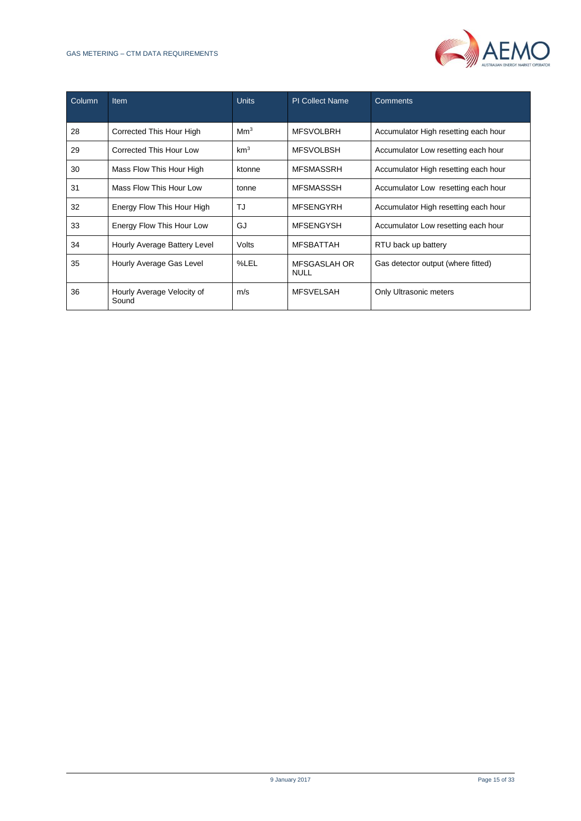#### GAS METERING – CTM DATA REQUIREMENTS



| Column | <b>Item</b>                         | <b>Units</b>    | <b>PI Collect Name</b>      | <b>Comments</b>                      |
|--------|-------------------------------------|-----------------|-----------------------------|--------------------------------------|
| 28     | Corrected This Hour High            | Mm <sup>3</sup> | <b>MFSVOLBRH</b>            | Accumulator High resetting each hour |
| 29     | Corrected This Hour Low             | km <sup>3</sup> | <b>MFSVOLBSH</b>            | Accumulator Low resetting each hour  |
| 30     | Mass Flow This Hour High            | ktonne          | <b>MFSMASSRH</b>            | Accumulator High resetting each hour |
| 31     | Mass Flow This Hour Low             | tonne           | <b>MFSMASSSH</b>            | Accumulator Low resetting each hour  |
| 32     | Energy Flow This Hour High          | TJ              | <b>MFSENGYRH</b>            | Accumulator High resetting each hour |
| 33     | Energy Flow This Hour Low           | GJ              | <b>MFSENGYSH</b>            | Accumulator Low resetting each hour  |
| 34     | Hourly Average Battery Level        | Volts           | <b>MFSBATTAH</b>            | RTU back up battery                  |
| 35     | Hourly Average Gas Level            | %LEL            | MFSGASLAH OR<br><b>NULL</b> | Gas detector output (where fitted)   |
| 36     | Hourly Average Velocity of<br>Sound | m/s             | <b>MFSVELSAH</b>            | Only Ultrasonic meters               |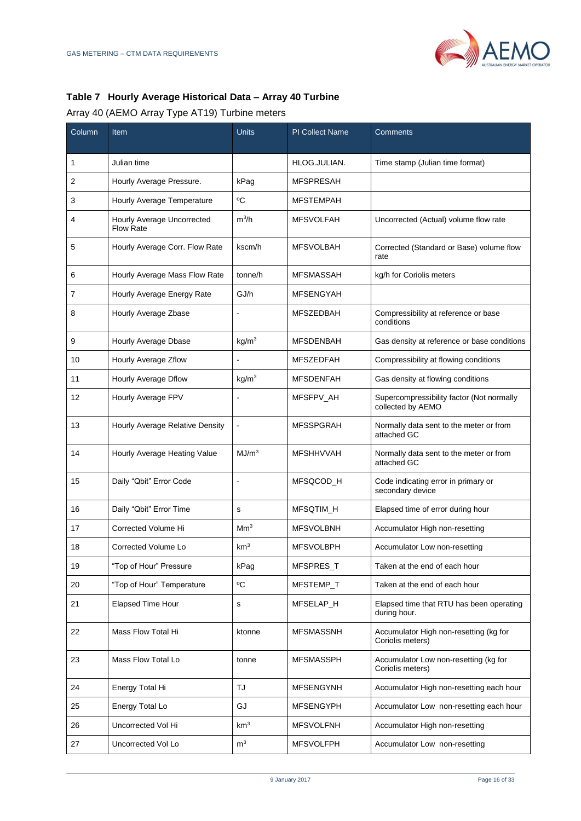

# **Table 7 Hourly Average Historical Data – Array 40 Turbine**

# Array 40 (AEMO Array Type AT19) Turbine meters

| Column | Item                                           | <b>Units</b>         | <b>PI Collect Name</b> | Comments                                                       |
|--------|------------------------------------------------|----------------------|------------------------|----------------------------------------------------------------|
| 1      | Julian time                                    |                      | HLOG.JULIAN.           | Time stamp (Julian time format)                                |
| 2      | Hourly Average Pressure.                       | kPag                 | <b>MFSPRESAH</b>       |                                                                |
| 3      | Hourly Average Temperature                     | $\rm ^{0}C$          | <b>MFSTEMPAH</b>       |                                                                |
| 4      | Hourly Average Uncorrected<br><b>Flow Rate</b> | $m^3/h$              | <b>MFSVOLFAH</b>       | Uncorrected (Actual) volume flow rate                          |
| 5      | Hourly Average Corr. Flow Rate                 | kscm/h               | <b>MFSVOLBAH</b>       | Corrected (Standard or Base) volume flow<br>rate               |
| 6      | Hourly Average Mass Flow Rate                  | tonne/h              | <b>MFSMASSAH</b>       | kg/h for Coriolis meters                                       |
| 7      | Hourly Average Energy Rate                     | GJ/h                 | <b>MFSENGYAH</b>       |                                                                |
| 8      | Hourly Average Zbase                           |                      | <b>MFSZEDBAH</b>       | Compressibility at reference or base<br>conditions             |
| 9      | Hourly Average Dbase                           | kg/m <sup>3</sup>    | <b>MFSDENBAH</b>       | Gas density at reference or base conditions                    |
| 10     | Hourly Average Zflow                           |                      | <b>MFSZEDFAH</b>       | Compressibility at flowing conditions                          |
| 11     | Hourly Average Dflow                           | kg/m <sup>3</sup>    | <b>MFSDENFAH</b>       | Gas density at flowing conditions                              |
| 12     | Hourly Average FPV                             |                      | MFSFPV_AH              | Supercompressibility factor (Not normally<br>collected by AEMO |
| 13     | Hourly Average Relative Density                | $\blacksquare$       | <b>MFSSPGRAH</b>       | Normally data sent to the meter or from<br>attached GC         |
| 14     | Hourly Average Heating Value                   | MJ/m <sup>3</sup>    | <b>MFSHHVVAH</b>       | Normally data sent to the meter or from<br>attached GC         |
| 15     | Daily "Qbit" Error Code                        | $\ddot{\phantom{a}}$ | MFSQCOD_H              | Code indicating error in primary or<br>secondary device        |
| 16     | Daily "Qbit" Error Time                        | s                    | MFSQTIM_H              | Elapsed time of error during hour                              |
| 17     | Corrected Volume Hi                            | Mm <sup>3</sup>      | <b>MFSVOLBNH</b>       | Accumulator High non-resetting                                 |
| 18     | Corrected Volume Lo                            | km <sup>3</sup>      | <b>MFSVOLBPH</b>       | Accumulator Low non-resetting                                  |
| 19     | "Top of Hour" Pressure                         | kPag                 | MFSPRES_T              | Taken at the end of each hour                                  |
| 20     | "Top of Hour" Temperature                      | °C                   | MFSTEMP_T              | Taken at the end of each hour                                  |
| 21     | <b>Elapsed Time Hour</b>                       | s                    | MFSELAP H              | Elapsed time that RTU has been operating<br>during hour.       |
| 22     | Mass Flow Total Hi                             | ktonne               | <b>MFSMASSNH</b>       | Accumulator High non-resetting (kg for<br>Coriolis meters)     |
| 23     | Mass Flow Total Lo                             | tonne                | <b>MFSMASSPH</b>       | Accumulator Low non-resetting (kg for<br>Coriolis meters)      |
| 24     | Energy Total Hi                                | TJ                   | <b>MFSENGYNH</b>       | Accumulator High non-resetting each hour                       |
| 25     | Energy Total Lo                                | GJ                   | <b>MFSENGYPH</b>       | Accumulator Low non-resetting each hour                        |
| 26     | Uncorrected Vol Hi                             | km <sup>3</sup>      | <b>MFSVOLFNH</b>       | Accumulator High non-resetting                                 |
| 27     | Uncorrected Vol Lo                             | m <sup>3</sup>       | <b>MFSVOLFPH</b>       | Accumulator Low non-resetting                                  |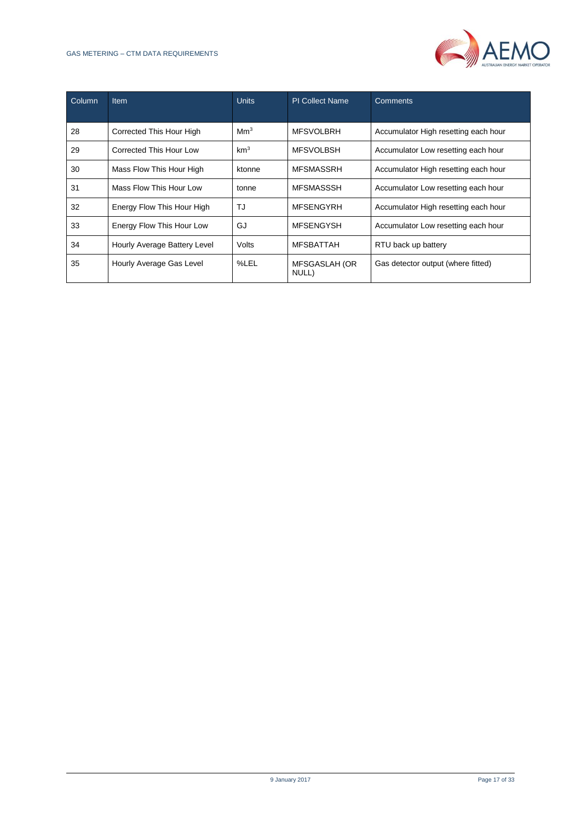#### GAS METERING – CTM DATA REQUIREMENTS



| Column | <b>Item</b>                  | <b>Units</b>    | <b>PI Collect Name</b> | Comments                             |
|--------|------------------------------|-----------------|------------------------|--------------------------------------|
| 28     | Corrected This Hour High     | Mm <sup>3</sup> | <b>MFSVOLBRH</b>       | Accumulator High resetting each hour |
| 29     | Corrected This Hour Low      | km <sup>3</sup> | <b>MFSVOLBSH</b>       | Accumulator Low resetting each hour  |
| 30     | Mass Flow This Hour High     | ktonne          | <b>MFSMASSRH</b>       | Accumulator High resetting each hour |
| 31     | Mass Flow This Hour Low      | tonne           | <b>MFSMASSSH</b>       | Accumulator Low resetting each hour  |
| 32     | Energy Flow This Hour High   | TJ              | <b>MFSENGYRH</b>       | Accumulator High resetting each hour |
| 33     | Energy Flow This Hour Low    | GJ              | <b>MFSENGYSH</b>       | Accumulator Low resetting each hour  |
| 34     | Hourly Average Battery Level | Volts           | <b>MFSBATTAH</b>       | RTU back up battery                  |
| 35     | Hourly Average Gas Level     | %LEL            | MFSGASLAH (OR<br>NULL) | Gas detector output (where fitted)   |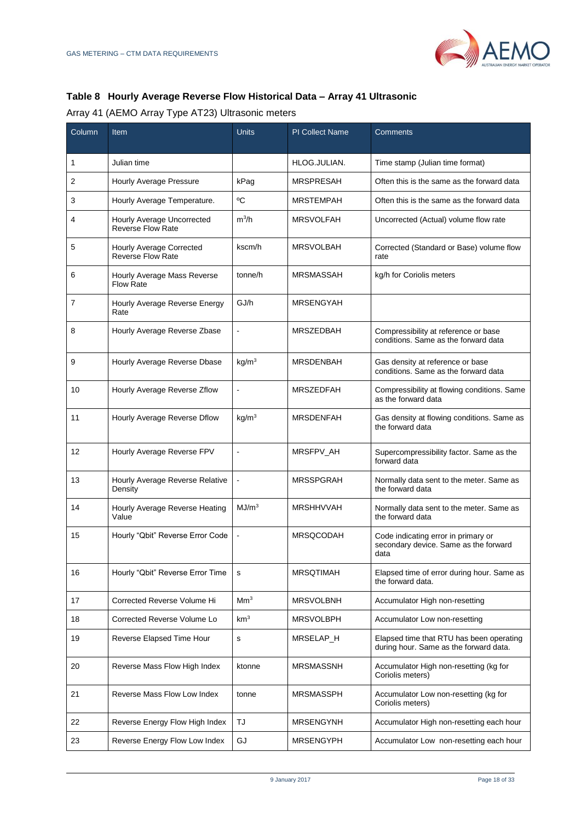

# **Table 8 Hourly Average Reverse Flow Historical Data – Array 41 Ultrasonic**

Array 41 (AEMO Array Type AT23) Ultrasonic meters

| Column | Item                                                   | <b>Units</b>             | <b>PI Collect Name</b> | Comments                                                                             |
|--------|--------------------------------------------------------|--------------------------|------------------------|--------------------------------------------------------------------------------------|
| 1      | Julian time                                            |                          | HLOG.JULIAN.           | Time stamp (Julian time format)                                                      |
| 2      | Hourly Average Pressure                                | kPag                     | <b>MRSPRESAH</b>       | Often this is the same as the forward data                                           |
| 3      | Hourly Average Temperature.                            | °C                       | <b>MRSTEMPAH</b>       | Often this is the same as the forward data                                           |
| 4      | Hourly Average Uncorrected<br><b>Reverse Flow Rate</b> | $m^3/h$                  | <b>MRSVOLFAH</b>       | Uncorrected (Actual) volume flow rate                                                |
| 5      | Hourly Average Corrected<br>Reverse Flow Rate          | kscm/h                   | <b>MRSVOLBAH</b>       | Corrected (Standard or Base) volume flow<br>rate                                     |
| 6      | Hourly Average Mass Reverse<br><b>Flow Rate</b>        | tonne/h                  | <b>MRSMASSAH</b>       | kg/h for Coriolis meters                                                             |
| 7      | Hourly Average Reverse Energy<br>Rate                  | GJ/h                     | <b>MRSENGYAH</b>       |                                                                                      |
| 8      | Hourly Average Reverse Zbase                           | $\blacksquare$           | <b>MRSZEDBAH</b>       | Compressibility at reference or base<br>conditions. Same as the forward data         |
| 9      | Hourly Average Reverse Dbase                           | kg/m <sup>3</sup>        | <b>MRSDENBAH</b>       | Gas density at reference or base<br>conditions. Same as the forward data             |
| 10     | Hourly Average Reverse Zflow                           | $\blacksquare$           | <b>MRSZEDFAH</b>       | Compressibility at flowing conditions. Same<br>as the forward data                   |
| 11     | Hourly Average Reverse Dflow                           | kg/m <sup>3</sup>        | <b>MRSDENFAH</b>       | Gas density at flowing conditions. Same as<br>the forward data                       |
| 12     | Hourly Average Reverse FPV                             | $\blacksquare$           | MRSFPV_AH              | Supercompressibility factor. Same as the<br>forward data                             |
| 13     | Hourly Average Reverse Relative<br>Density             |                          | <b>MRSSPGRAH</b>       | Normally data sent to the meter. Same as<br>the forward data                         |
| 14     | Hourly Average Reverse Heating<br>Value                | MJ/m <sup>3</sup>        | <b>MRSHHVVAH</b>       | Normally data sent to the meter. Same as<br>the forward data                         |
| 15     | Hourly "Qbit" Reverse Error Code                       | $\overline{\phantom{a}}$ | <b>MRSQCODAH</b>       | Code indicating error in primary or<br>secondary device. Same as the forward<br>data |
| 16     | Hourly "Qbit" Reverse Error Time                       | s                        | <b>MRSQTIMAH</b>       | Elapsed time of error during hour. Same as<br>the forward data.                      |
| 17     | Corrected Reverse Volume Hi                            | Mm <sup>3</sup>          | <b>MRSVOLBNH</b>       | Accumulator High non-resetting                                                       |
| 18     | Corrected Reverse Volume Lo                            | km <sup>3</sup>          | <b>MRSVOLBPH</b>       | Accumulator Low non-resetting                                                        |
| 19     | Reverse Elapsed Time Hour                              | $\mathbf s$              | MRSELAP_H              | Elapsed time that RTU has been operating<br>during hour. Same as the forward data.   |
| 20     | Reverse Mass Flow High Index                           | ktonne                   | <b>MRSMASSNH</b>       | Accumulator High non-resetting (kg for<br>Coriolis meters)                           |
| 21     | Reverse Mass Flow Low Index                            | tonne                    | <b>MRSMASSPH</b>       | Accumulator Low non-resetting (kg for<br>Coriolis meters)                            |
| 22     | Reverse Energy Flow High Index                         | TJ                       | <b>MRSENGYNH</b>       | Accumulator High non-resetting each hour                                             |
| 23     | Reverse Energy Flow Low Index                          | GJ                       | <b>MRSENGYPH</b>       | Accumulator Low non-resetting each hour                                              |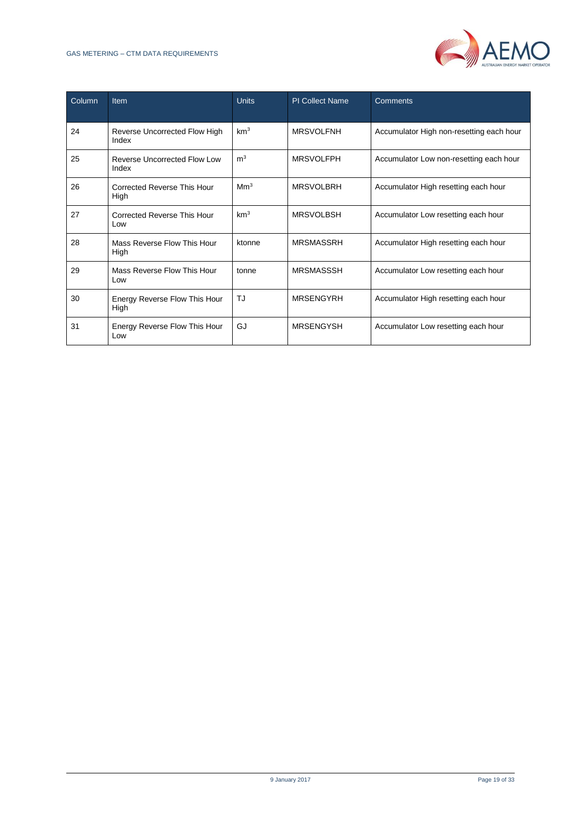

| Column | <b>Item</b>                            | <b>Units</b>    | <b>PI Collect Name</b> | Comments                                 |
|--------|----------------------------------------|-----------------|------------------------|------------------------------------------|
| 24     | Reverse Uncorrected Flow High<br>Index | km <sup>3</sup> | <b>MRSVOLFNH</b>       | Accumulator High non-resetting each hour |
| 25     | Reverse Uncorrected Flow Low<br>Index  | m <sup>3</sup>  | <b>MRSVOLFPH</b>       | Accumulator Low non-resetting each hour  |
| 26     | Corrected Reverse This Hour<br>High    | Mm <sup>3</sup> | <b>MRSVOLBRH</b>       | Accumulator High resetting each hour     |
| 27     | Corrected Reverse This Hour<br>Low     | km <sup>3</sup> | <b>MRSVOLBSH</b>       | Accumulator Low resetting each hour      |
| 28     | Mass Reverse Flow This Hour<br>High    | ktonne          | <b>MRSMASSRH</b>       | Accumulator High resetting each hour     |
| 29     | Mass Reverse Flow This Hour<br>Low     | tonne           | <b>MRSMASSSH</b>       | Accumulator Low resetting each hour      |
| 30     | Energy Reverse Flow This Hour<br>High  | TJ              | <b>MRSENGYRH</b>       | Accumulator High resetting each hour     |
| 31     | Energy Reverse Flow This Hour<br>Low   | GJ              | <b>MRSENGYSH</b>       | Accumulator Low resetting each hour      |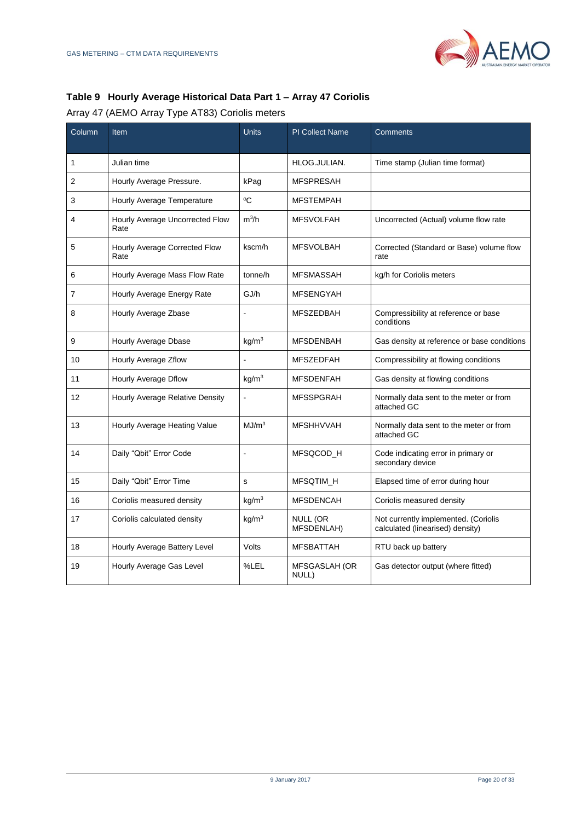

# **Table 9 Hourly Average Historical Data Part 1 – Array 47 Coriolis**

# Array 47 (AEMO Array Type AT83) Coriolis meters

| Column | Item                                    | <b>Units</b>      | <b>PI Collect Name</b>        | Comments                                                                 |
|--------|-----------------------------------------|-------------------|-------------------------------|--------------------------------------------------------------------------|
| 1      | Julian time                             |                   | HLOG.JULIAN.                  | Time stamp (Julian time format)                                          |
| 2      | Hourly Average Pressure.                | kPag              | <b>MFSPRESAH</b>              |                                                                          |
| 3      | Hourly Average Temperature              | °C                | <b>MFSTEMPAH</b>              |                                                                          |
| 4      | Hourly Average Uncorrected Flow<br>Rate | $m^3/h$           | <b>MFSVOLFAH</b>              | Uncorrected (Actual) volume flow rate                                    |
| 5      | Hourly Average Corrected Flow<br>Rate   | kscm/h            | <b>MFSVOLBAH</b>              | Corrected (Standard or Base) volume flow<br>rate                         |
| 6      | Hourly Average Mass Flow Rate           | tonne/h           | <b>MFSMASSAH</b>              | kg/h for Coriolis meters                                                 |
| 7      | Hourly Average Energy Rate              | GJ/h              | <b>MFSENGYAH</b>              |                                                                          |
| 8      | Hourly Average Zbase                    |                   | <b>MFSZEDBAH</b>              | Compressibility at reference or base<br>conditions                       |
| 9      | Hourly Average Dbase                    | kg/m <sup>3</sup> | <b>MFSDENBAH</b>              | Gas density at reference or base conditions                              |
| 10     | Hourly Average Zflow                    | $\overline{a}$    | <b>MFSZEDFAH</b>              | Compressibility at flowing conditions                                    |
| 11     | Hourly Average Dflow                    | $kq/m^3$          | <b>MFSDENFAH</b>              | Gas density at flowing conditions                                        |
| 12     | Hourly Average Relative Density         | ÷,                | <b>MFSSPGRAH</b>              | Normally data sent to the meter or from<br>attached GC                   |
| 13     | Hourly Average Heating Value            | MJ/m <sup>3</sup> | <b>MFSHHVVAH</b>              | Normally data sent to the meter or from<br>attached GC                   |
| 14     | Daily "Qbit" Error Code                 | L,                | MFSQCOD H                     | Code indicating error in primary or<br>secondary device                  |
| 15     | Daily "Qbit" Error Time                 | s                 | <b>MFSQTIM H</b>              | Elapsed time of error during hour                                        |
| 16     | Coriolis measured density               | kg/m <sup>3</sup> | <b>MFSDENCAH</b>              | Coriolis measured density                                                |
| 17     | Coriolis calculated density             | kg/m <sup>3</sup> | <b>NULL (OR</b><br>MFSDENLAH) | Not currently implemented. (Coriolis<br>calculated (linearised) density) |
| 18     | Hourly Average Battery Level            | Volts             | <b>MFSBATTAH</b>              | RTU back up battery                                                      |
| 19     | Hourly Average Gas Level                | %LEL              | MFSGASLAH (OR<br>NULL)        | Gas detector output (where fitted)                                       |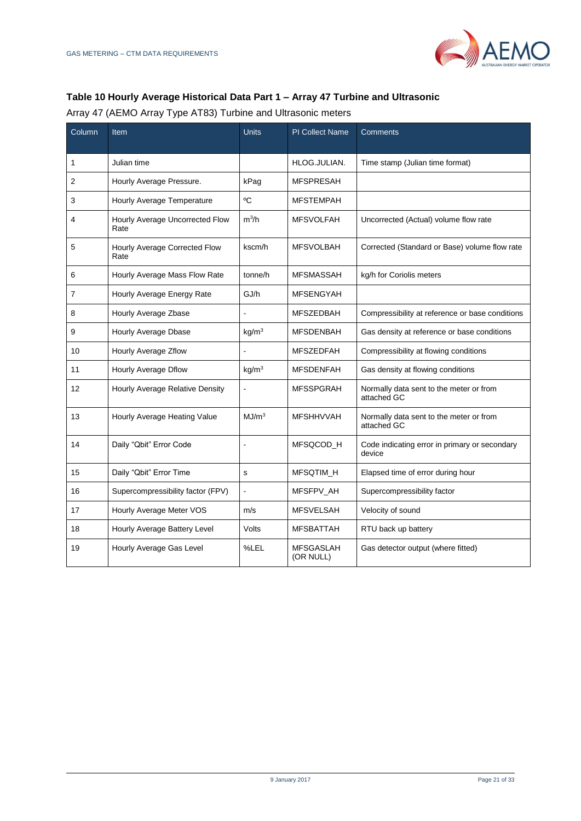

#### **Table 10 Hourly Average Historical Data Part 1 – Array 47 Turbine and Ultrasonic**

Array 47 (AEMO Array Type AT83) Turbine and Ultrasonic meters

| Column         | Item                                    | <b>Units</b>      | PI Collect Name               | Comments                                                |
|----------------|-----------------------------------------|-------------------|-------------------------------|---------------------------------------------------------|
| 1              | Julian time                             |                   | HLOG.JULIAN.                  | Time stamp (Julian time format)                         |
| 2              | Hourly Average Pressure.                | kPag              | <b>MFSPRESAH</b>              |                                                         |
| 3              | Hourly Average Temperature              | °C                | <b>MFSTEMPAH</b>              |                                                         |
| 4              | Hourly Average Uncorrected Flow<br>Rate | $m^3/h$           | <b>MFSVOLFAH</b>              | Uncorrected (Actual) volume flow rate                   |
| 5              | Hourly Average Corrected Flow<br>Rate   | kscm/h            | <b>MFSVOLBAH</b>              | Corrected (Standard or Base) volume flow rate           |
| 6              | Hourly Average Mass Flow Rate           | tonne/h           | <b>MFSMASSAH</b>              | kg/h for Coriolis meters                                |
| $\overline{7}$ | Hourly Average Energy Rate              | GJ/h              | <b>MFSENGYAH</b>              |                                                         |
| 8              | Hourly Average Zbase                    |                   | <b>MFSZEDBAH</b>              | Compressibility at reference or base conditions         |
| 9              | Hourly Average Dbase                    | kg/m <sup>3</sup> | <b>MFSDENBAH</b>              | Gas density at reference or base conditions             |
| 10             | Hourly Average Zflow                    | $\overline{a}$    | <b>MFSZEDFAH</b>              | Compressibility at flowing conditions                   |
| 11             | Hourly Average Dflow                    | kg/m <sup>3</sup> | <b>MFSDENFAH</b>              | Gas density at flowing conditions                       |
| 12             | Hourly Average Relative Density         | ÷,                | <b>MFSSPGRAH</b>              | Normally data sent to the meter or from<br>attached GC  |
| 13             | Hourly Average Heating Value            | MJ/m <sup>3</sup> | <b>MFSHHVVAH</b>              | Normally data sent to the meter or from<br>attached GC  |
| 14             | Daily "Qbit" Error Code                 | ÷,                | MFSQCOD H                     | Code indicating error in primary or secondary<br>device |
| 15             | Daily "Qbit" Error Time                 | s                 | <b>MFSQTIM H</b>              | Elapsed time of error during hour                       |
| 16             | Supercompressibility factor (FPV)       | $\blacksquare$    | MFSFPV AH                     | Supercompressibility factor                             |
| 17             | Hourly Average Meter VOS                | m/s               | <b>MFSVELSAH</b>              | Velocity of sound                                       |
| 18             | Hourly Average Battery Level            | Volts             | <b>MFSBATTAH</b>              | RTU back up battery                                     |
| 19             | Hourly Average Gas Level                | %LEL              | <b>MFSGASLAH</b><br>(OR NULL) | Gas detector output (where fitted)                      |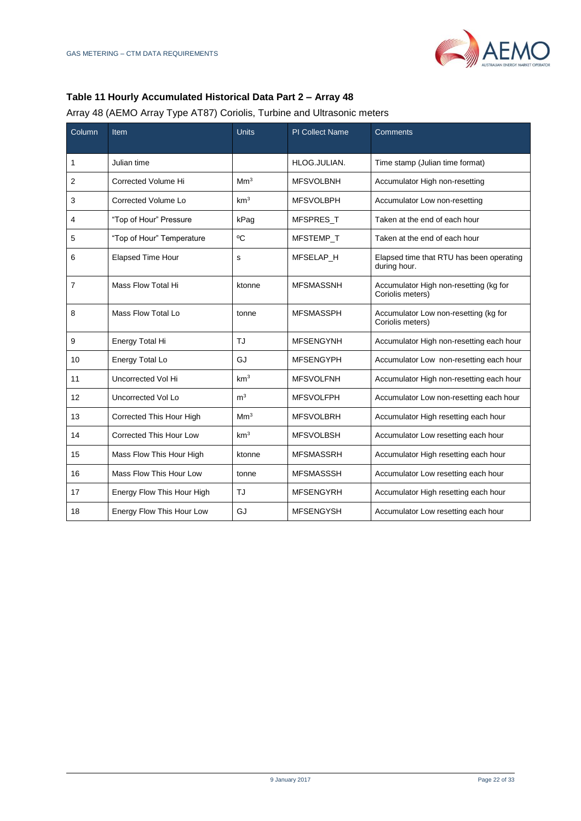# **Table 11 Hourly Accumulated Historical Data Part 2 – Array 48**

#### Array 48 (AEMO Array Type AT87) Coriolis, Turbine and Ultrasonic meters

| Column         | <b>Item</b>                    | <b>Units</b>    | <b>PI Collect Name</b> | Comments                                                   |
|----------------|--------------------------------|-----------------|------------------------|------------------------------------------------------------|
|                |                                |                 |                        |                                                            |
| 1              | Julian time                    |                 | HLOG.JULIAN.           | Time stamp (Julian time format)                            |
| $\overline{2}$ | Corrected Volume Hi            | Mm <sup>3</sup> | <b>MFSVOLBNH</b>       | Accumulator High non-resetting                             |
| 3              | Corrected Volume Lo            | km <sup>3</sup> | <b>MFSVOLBPH</b>       | Accumulator Low non-resetting                              |
| 4              | "Top of Hour" Pressure         | kPag            | <b>MFSPRES T</b>       | Taken at the end of each hour                              |
| 5              | "Top of Hour" Temperature      | °C              | MFSTEMP T              | Taken at the end of each hour                              |
| 6              | <b>Elapsed Time Hour</b>       | s               | MFSELAP H              | Elapsed time that RTU has been operating<br>during hour.   |
| 7              | Mass Flow Total Hi             | ktonne          | <b>MFSMASSNH</b>       | Accumulator High non-resetting (kg for<br>Coriolis meters) |
| 8              | Mass Flow Total Lo             | tonne           | <b>MFSMASSPH</b>       | Accumulator Low non-resetting (kg for<br>Coriolis meters)  |
| 9              | Energy Total Hi                | TJ              | <b>MFSENGYNH</b>       | Accumulator High non-resetting each hour                   |
| 10             | Energy Total Lo                | GJ              | <b>MFSENGYPH</b>       | Accumulator Low non-resetting each hour                    |
| 11             | Uncorrected Vol Hi             | km <sup>3</sup> | <b>MFSVOLFNH</b>       | Accumulator High non-resetting each hour                   |
| 12             | Uncorrected Vol Lo             | m <sup>3</sup>  | <b>MFSVOLFPH</b>       | Accumulator Low non-resetting each hour                    |
| 13             | Corrected This Hour High       | Mm <sup>3</sup> | <b>MFSVOLBRH</b>       | Accumulator High resetting each hour                       |
| 14             | <b>Corrected This Hour Low</b> | km <sup>3</sup> | <b>MFSVOLBSH</b>       | Accumulator Low resetting each hour                        |
| 15             | Mass Flow This Hour High       | ktonne          | <b>MFSMASSRH</b>       | Accumulator High resetting each hour                       |
| 16             | Mass Flow This Hour Low        | tonne           | <b>MFSMASSSH</b>       | Accumulator Low resetting each hour                        |
| 17             | Energy Flow This Hour High     | TJ              | <b>MFSENGYRH</b>       | Accumulator High resetting each hour                       |
| 18             | Energy Flow This Hour Low      | GJ              | <b>MFSENGYSH</b>       | Accumulator Low resetting each hour                        |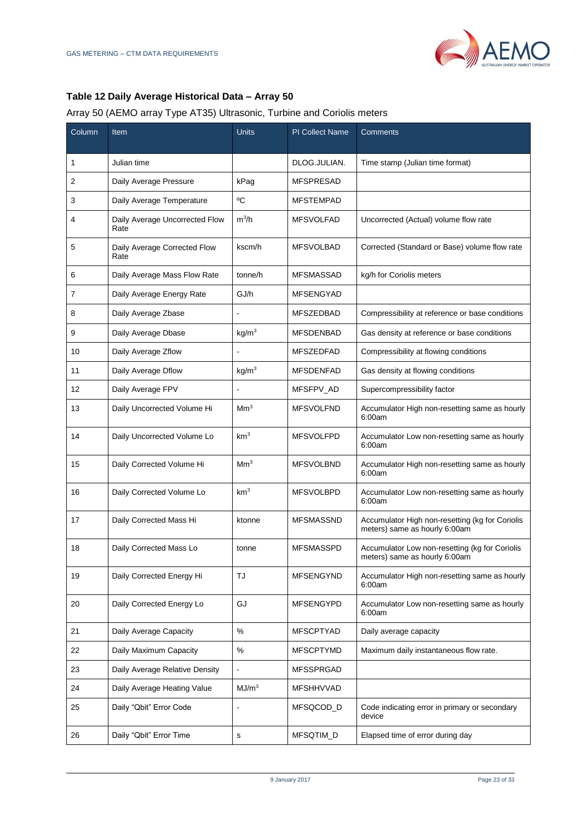# **Table 12 Daily Average Historical Data – Array 50**

#### Array 50 (AEMO array Type AT35) Ultrasonic, Turbine and Coriolis meters

| Column | Item                                   | Units             | <b>PI Collect Name</b> | Comments                                                                         |
|--------|----------------------------------------|-------------------|------------------------|----------------------------------------------------------------------------------|
| 1      | Julian time                            |                   | DLOG.JULIAN.           | Time stamp (Julian time format)                                                  |
| 2      | Daily Average Pressure                 | kPag              | <b>MFSPRESAD</b>       |                                                                                  |
| 3      | Daily Average Temperature              | ٥C                | <b>MFSTEMPAD</b>       |                                                                                  |
| 4      | Daily Average Uncorrected Flow<br>Rate | $m^3/h$           | <b>MFSVOLFAD</b>       | Uncorrected (Actual) volume flow rate                                            |
| 5      | Daily Average Corrected Flow<br>Rate   | kscm/h            | <b>MFSVOLBAD</b>       | Corrected (Standard or Base) volume flow rate                                    |
| 6      | Daily Average Mass Flow Rate           | tonne/h           | <b>MFSMASSAD</b>       | kg/h for Coriolis meters                                                         |
| 7      | Daily Average Energy Rate              | GJ/h              | <b>MFSENGYAD</b>       |                                                                                  |
| 8      | Daily Average Zbase                    |                   | <b>MFSZEDBAD</b>       | Compressibility at reference or base conditions                                  |
| 9      | Daily Average Dbase                    | kg/m <sup>3</sup> | <b>MFSDENBAD</b>       | Gas density at reference or base conditions                                      |
| 10     | Daily Average Zflow                    |                   | <b>MFSZEDFAD</b>       | Compressibility at flowing conditions                                            |
| 11     | Daily Average Dflow                    | kg/m <sup>3</sup> | <b>MFSDENFAD</b>       | Gas density at flowing conditions                                                |
| 12     | Daily Average FPV                      |                   | MFSFPV AD              | Supercompressibility factor                                                      |
| 13     | Daily Uncorrected Volume Hi            | Mm <sup>3</sup>   | <b>MFSVOLFND</b>       | Accumulator High non-resetting same as hourly<br>6:00am                          |
| 14     | Daily Uncorrected Volume Lo            | km <sup>3</sup>   | <b>MFSVOLFPD</b>       | Accumulator Low non-resetting same as hourly<br>6:00am                           |
| 15     | Daily Corrected Volume Hi              | Mm <sup>3</sup>   | <b>MFSVOLBND</b>       | Accumulator High non-resetting same as hourly<br>6:00am                          |
| 16     | Daily Corrected Volume Lo              | km <sup>3</sup>   | <b>MFSVOLBPD</b>       | Accumulator Low non-resetting same as hourly<br>6:00am                           |
| 17     | Daily Corrected Mass Hi                | ktonne            | <b>MFSMASSND</b>       | Accumulator High non-resetting (kg for Coriolis<br>meters) same as hourly 6:00am |
| 18     | Daily Corrected Mass Lo                | tonne             | <b>MFSMASSPD</b>       | Accumulator Low non-resetting (kg for Coriolis<br>meters) same as hourly 6:00am  |
| 19     | Daily Corrected Energy Hi              | TJ                | MFSENGYND              | Accumulator High non-resetting same as hourly<br>6:00am                          |
| 20     | Daily Corrected Energy Lo              | GJ                | MFSENGYPD              | Accumulator Low non-resetting same as hourly<br>6:00am                           |
| 21     | Daily Average Capacity                 | %                 | <b>MFSCPTYAD</b>       | Daily average capacity                                                           |
| 22     | Daily Maximum Capacity                 | %                 | <b>MFSCPTYMD</b>       | Maximum daily instantaneous flow rate.                                           |
| 23     | Daily Average Relative Density         |                   | <b>MFSSPRGAD</b>       |                                                                                  |
| 24     | Daily Average Heating Value            | MJ/m <sup>3</sup> | MFSHHVVAD              |                                                                                  |
| 25     | Daily "Qbit" Error Code                |                   | MFSQCOD_D              | Code indicating error in primary or secondary<br>device                          |
| 26     | Daily "Qbit" Error Time                | s                 | MFSQTIM_D              | Elapsed time of error during day                                                 |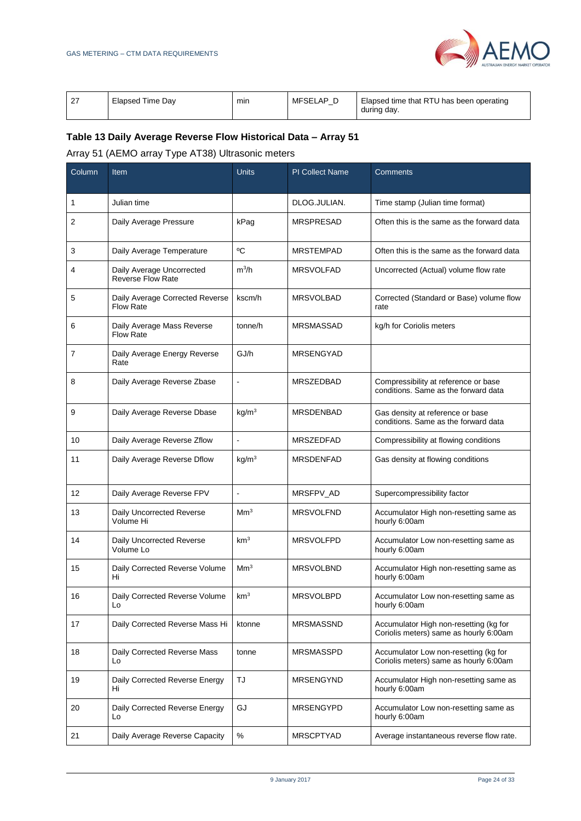

| ົ | Elapsed Time Dav | min | MFSELAP <b>F</b> | Elapsed time that RTU has been operating<br>during day. |
|---|------------------|-----|------------------|---------------------------------------------------------|
|---|------------------|-----|------------------|---------------------------------------------------------|

# **Table 13 Daily Average Reverse Flow Historical Data – Array 51**

# Array 51 (AEMO array Type AT38) Ultrasonic meters

| Column | Item                                                  | <b>Units</b>             | <b>PI Collect Name</b> | Comments                                                                         |
|--------|-------------------------------------------------------|--------------------------|------------------------|----------------------------------------------------------------------------------|
| 1      | Julian time                                           |                          | DLOG.JULIAN.           | Time stamp (Julian time format)                                                  |
| 2      | Daily Average Pressure                                | kPag                     | <b>MRSPRESAD</b>       | Often this is the same as the forward data                                       |
| 3      | Daily Average Temperature                             | °C                       | <b>MRSTEMPAD</b>       | Often this is the same as the forward data                                       |
| 4      | Daily Average Uncorrected<br><b>Reverse Flow Rate</b> | $m^3/h$                  | <b>MRSVOLFAD</b>       | Uncorrected (Actual) volume flow rate                                            |
| 5      | Daily Average Corrected Reverse<br><b>Flow Rate</b>   | kscm/h                   | <b>MRSVOLBAD</b>       | Corrected (Standard or Base) volume flow<br>rate                                 |
| 6      | Daily Average Mass Reverse<br><b>Flow Rate</b>        | tonne/h                  | <b>MRSMASSAD</b>       | kg/h for Coriolis meters                                                         |
| 7      | Daily Average Energy Reverse<br>Rate                  | GJ/h                     | <b>MRSENGYAD</b>       |                                                                                  |
| 8      | Daily Average Reverse Zbase                           | $\blacksquare$           | <b>MRSZEDBAD</b>       | Compressibility at reference or base<br>conditions. Same as the forward data     |
| 9      | Daily Average Reverse Dbase                           | kg/m <sup>3</sup>        | <b>MRSDENBAD</b>       | Gas density at reference or base<br>conditions. Same as the forward data         |
| 10     | Daily Average Reverse Zflow                           | $\overline{\phantom{a}}$ | MRSZEDFAD              | Compressibility at flowing conditions                                            |
| 11     | Daily Average Reverse Dflow                           | kg/m <sup>3</sup>        | <b>MRSDENFAD</b>       | Gas density at flowing conditions                                                |
| 12     | Daily Average Reverse FPV                             | $\blacksquare$           | MRSFPV_AD              | Supercompressibility factor                                                      |
| 13     | Daily Uncorrected Reverse<br>Volume Hi                | Mm <sup>3</sup>          | <b>MRSVOLFND</b>       | Accumulator High non-resetting same as<br>hourly 6:00am                          |
| 14     | Daily Uncorrected Reverse<br>Volume Lo                | km <sup>3</sup>          | <b>MRSVOLFPD</b>       | Accumulator Low non-resetting same as<br>hourly 6:00am                           |
| 15     | Daily Corrected Reverse Volume<br>Hi                  | Mm <sup>3</sup>          | <b>MRSVOLBND</b>       | Accumulator High non-resetting same as<br>hourly 6:00am                          |
| 16     | Daily Corrected Reverse Volume<br>Lo                  | km <sup>3</sup>          | <b>MRSVOLBPD</b>       | Accumulator Low non-resetting same as<br>hourly 6:00am                           |
| 17     | Daily Corrected Reverse Mass Hi                       | ktonne                   | <b>MRSMASSND</b>       | Accumulator High non-resetting (kg for<br>Coriolis meters) same as hourly 6:00am |
| 18     | Daily Corrected Reverse Mass<br>Lo                    | tonne                    | <b>MRSMASSPD</b>       | Accumulator Low non-resetting (kg for<br>Coriolis meters) same as hourly 6:00am  |
| 19     | Daily Corrected Reverse Energy<br>Hi                  | TJ                       | <b>MRSENGYND</b>       | Accumulator High non-resetting same as<br>hourly 6:00am                          |
| 20     | Daily Corrected Reverse Energy<br>Lo                  | GJ                       | <b>MRSENGYPD</b>       | Accumulator Low non-resetting same as<br>hourly 6:00am                           |
| 21     | Daily Average Reverse Capacity                        | $\%$                     | <b>MRSCPTYAD</b>       | Average instantaneous reverse flow rate.                                         |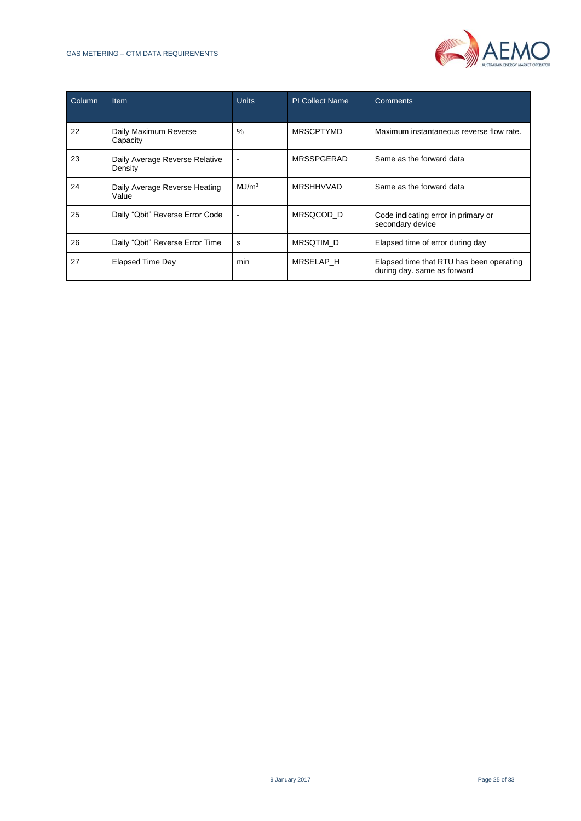

| Column | <b>Item</b>                               | <b>Units</b>      | <b>PI Collect Name</b> | <b>Comments</b>                                                         |
|--------|-------------------------------------------|-------------------|------------------------|-------------------------------------------------------------------------|
| 22     | Daily Maximum Reverse<br>Capacity         | $\%$              | <b>MRSCPTYMD</b>       | Maximum instantaneous reverse flow rate.                                |
| 23     | Daily Average Reverse Relative<br>Density |                   | <b>MRSSPGERAD</b>      | Same as the forward data                                                |
| 24     | Daily Average Reverse Heating<br>Value    | MJ/m <sup>3</sup> | <b>MRSHHVVAD</b>       | Same as the forward data                                                |
| 25     | Daily "Qbit" Reverse Error Code           |                   | MRSQCOD D              | Code indicating error in primary or<br>secondary device                 |
| 26     | Daily "Qbit" Reverse Error Time           | s                 | MRSQTIM_D              | Elapsed time of error during day                                        |
| 27     | Elapsed Time Day                          | min               | <b>MRSELAP H</b>       | Elapsed time that RTU has been operating<br>during day. same as forward |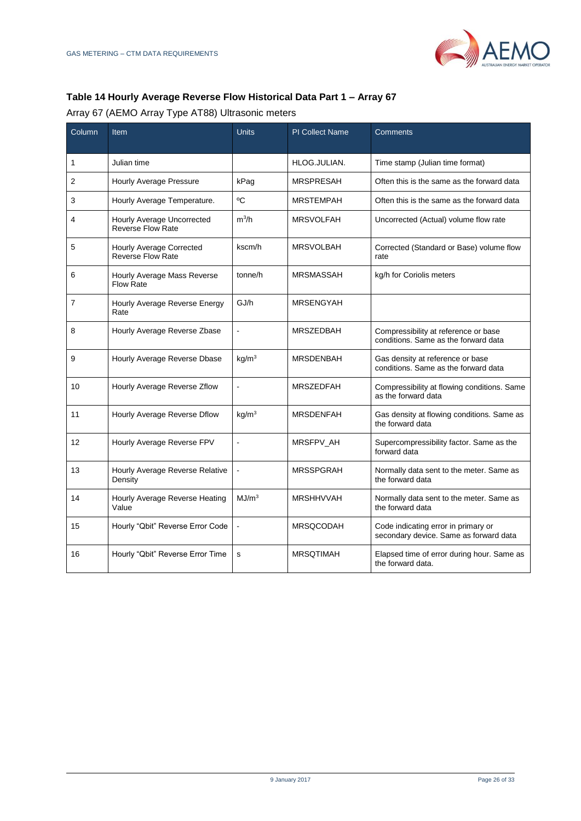

# <span id="page-25-0"></span>**Table 14 Hourly Average Reverse Flow Historical Data Part 1 – Array 67**

Array 67 (AEMO Array Type AT88) Ultrasonic meters

| Column         | Item                                                        | Units                | <b>PI Collect Name</b> | Comments                                                                      |
|----------------|-------------------------------------------------------------|----------------------|------------------------|-------------------------------------------------------------------------------|
| 1              | Julian time                                                 |                      | HLOG.JULIAN.           | Time stamp (Julian time format)                                               |
| $\overline{2}$ | Hourly Average Pressure                                     | kPag                 | <b>MRSPRESAH</b>       | Often this is the same as the forward data                                    |
| 3              | Hourly Average Temperature.                                 | °C                   | <b>MRSTEMPAH</b>       | Often this is the same as the forward data                                    |
| 4              | Hourly Average Uncorrected<br><b>Reverse Flow Rate</b>      | $m^3/h$              | <b>MRSVOLFAH</b>       | Uncorrected (Actual) volume flow rate                                         |
| 5              | <b>Hourly Average Corrected</b><br><b>Reverse Flow Rate</b> | kscm/h               | <b>MRSVOLBAH</b>       | Corrected (Standard or Base) volume flow<br>rate                              |
| 6              | Hourly Average Mass Reverse<br><b>Flow Rate</b>             | tonne/h              | <b>MRSMASSAH</b>       | kg/h for Coriolis meters                                                      |
| $\overline{7}$ | Hourly Average Reverse Energy<br>Rate                       | GJ/h                 | <b>MRSENGYAH</b>       |                                                                               |
| 8              | Hourly Average Reverse Zbase                                | $\ddot{\phantom{a}}$ | <b>MRSZEDBAH</b>       | Compressibility at reference or base<br>conditions. Same as the forward data  |
| 9              | Hourly Average Reverse Dbase                                | kg/m <sup>3</sup>    | <b>MRSDENBAH</b>       | Gas density at reference or base<br>conditions. Same as the forward data      |
| 10             | Hourly Average Reverse Zflow                                |                      | <b>MRSZEDFAH</b>       | Compressibility at flowing conditions. Same<br>as the forward data            |
| 11             | Hourly Average Reverse Dflow                                | kq/m <sup>3</sup>    | <b>MRSDENFAH</b>       | Gas density at flowing conditions. Same as<br>the forward data                |
| 12             | Hourly Average Reverse FPV                                  | L.                   | MRSFPV_AH              | Supercompressibility factor. Same as the<br>forward data                      |
| 13             | Hourly Average Reverse Relative<br>Density                  |                      | <b>MRSSPGRAH</b>       | Normally data sent to the meter. Same as<br>the forward data                  |
| 14             | Hourly Average Reverse Heating<br>Value                     | MJ/m <sup>3</sup>    | <b>MRSHHVVAH</b>       | Normally data sent to the meter. Same as<br>the forward data                  |
| 15             | Hourly "Qbit" Reverse Error Code                            | $\overline{a}$       | <b>MRSQCODAH</b>       | Code indicating error in primary or<br>secondary device. Same as forward data |
| 16             | Hourly "Qbit" Reverse Error Time                            | s                    | <b>MRSQTIMAH</b>       | Elapsed time of error during hour. Same as<br>the forward data.               |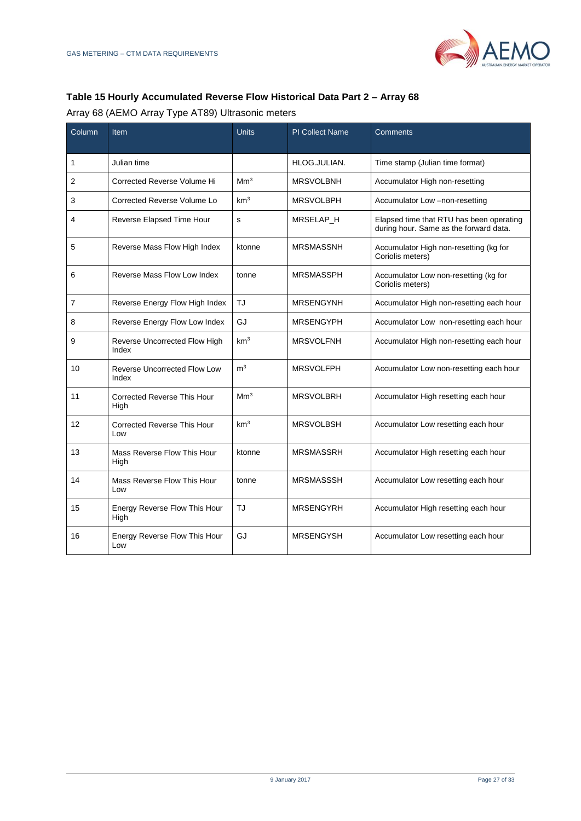

# **Table 15 Hourly Accumulated Reverse Flow Historical Data Part 2 – Array 68**

Array 68 (AEMO Array Type AT89) Ultrasonic meters

| Column         | Item                                         | <b>Units</b>    | <b>PI Collect Name</b> | Comments                                                                           |
|----------------|----------------------------------------------|-----------------|------------------------|------------------------------------------------------------------------------------|
| 1              | Julian time                                  |                 | HLOG.JULIAN.           | Time stamp (Julian time format)                                                    |
| 2              | Corrected Reverse Volume Hi                  | Mm <sup>3</sup> | <b>MRSVOLBNH</b>       | Accumulator High non-resetting                                                     |
| 3              | Corrected Reverse Volume Lo                  | km <sup>3</sup> | <b>MRSVOLBPH</b>       | Accumulator Low -non-resetting                                                     |
| 4              | Reverse Elapsed Time Hour                    | $\mathbf s$     | MRSELAP_H              | Elapsed time that RTU has been operating<br>during hour. Same as the forward data. |
| 5              | Reverse Mass Flow High Index                 | ktonne          | <b>MRSMASSNH</b>       | Accumulator High non-resetting (kg for<br>Coriolis meters)                         |
| 6              | Reverse Mass Flow Low Index                  | tonne           | <b>MRSMASSPH</b>       | Accumulator Low non-resetting (kg for<br>Coriolis meters)                          |
| $\overline{7}$ | Reverse Energy Flow High Index               | TJ              | <b>MRSENGYNH</b>       | Accumulator High non-resetting each hour                                           |
| 8              | Reverse Energy Flow Low Index                | GJ              | <b>MRSENGYPH</b>       | Accumulator Low non-resetting each hour                                            |
| 9              | Reverse Uncorrected Flow High<br>Index       | km <sup>3</sup> | <b>MRSVOLFNH</b>       | Accumulator High non-resetting each hour                                           |
| 10             | <b>Reverse Uncorrected Flow Low</b><br>Index | m <sup>3</sup>  | <b>MRSVOLFPH</b>       | Accumulator Low non-resetting each hour                                            |
| 11             | <b>Corrected Reverse This Hour</b><br>High   | Mm <sup>3</sup> | <b>MRSVOLBRH</b>       | Accumulator High resetting each hour                                               |
| 12             | <b>Corrected Reverse This Hour</b><br>Low    | km <sup>3</sup> | <b>MRSVOLBSH</b>       | Accumulator Low resetting each hour                                                |
| 13             | Mass Reverse Flow This Hour<br>High          | ktonne          | <b>MRSMASSRH</b>       | Accumulator High resetting each hour                                               |
| 14             | Mass Reverse Flow This Hour<br>Low           | tonne           | <b>MRSMASSSH</b>       | Accumulator Low resetting each hour                                                |
| 15             | Energy Reverse Flow This Hour<br>High        | TJ              | <b>MRSENGYRH</b>       | Accumulator High resetting each hour                                               |
| 16             | Energy Reverse Flow This Hour<br>Low         | GJ              | <b>MRSENGYSH</b>       | Accumulator Low resetting each hour                                                |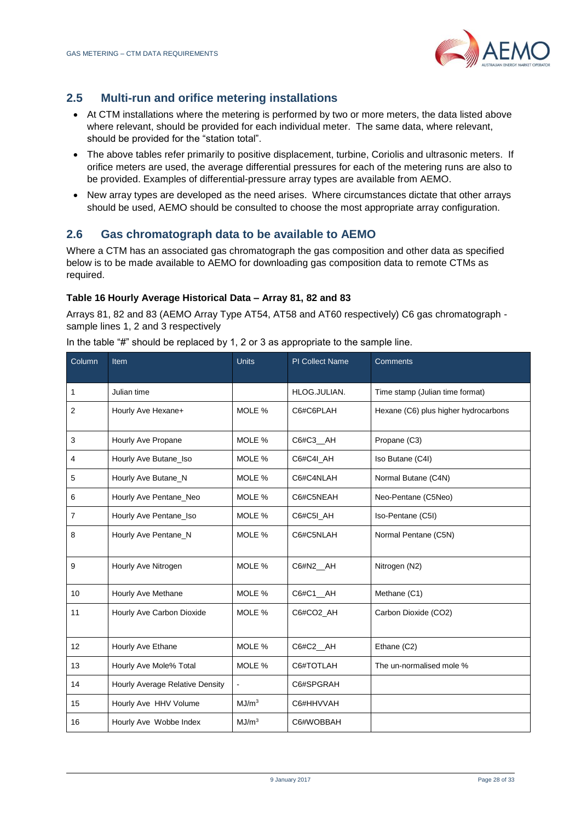

# **2.5 Multi-run and orifice metering installations**

- At CTM installations where the metering is performed by two or more meters, the data listed above where relevant, should be provided for each individual meter. The same data, where relevant, should be provided for the "station total".
- The above tables refer primarily to positive displacement, turbine, Coriolis and ultrasonic meters. If orifice meters are used, the average differential pressures for each of the metering runs are also to be provided. Examples of differential-pressure array types are available from AEMO.
- New array types are developed as the need arises. Where circumstances dictate that other arrays should be used, AEMO should be consulted to choose the most appropriate array configuration.

# <span id="page-27-0"></span>**2.6 Gas chromatograph data to be available to AEMO**

Where a CTM has an associated gas chromatograph the gas composition and other data as specified below is to be made available to AEMO for downloading gas composition data to remote CTMs as required.

#### **Table 16 Hourly Average Historical Data – Array 81, 82 and 83**

Arrays 81, 82 and 83 (AEMO Array Type AT54, AT58 and AT60 respectively) C6 gas chromatograph sample lines 1, 2 and 3 respectively

In the table "#" should be replaced by 1, 2 or 3 as appropriate to the sample line.

| Column         | Item                            | <b>Units</b>      | <b>PI Collect Name</b> | <b>Comments</b>                      |
|----------------|---------------------------------|-------------------|------------------------|--------------------------------------|
|                |                                 |                   |                        |                                      |
| 1              | Julian time                     |                   | HLOG.JULIAN.           | Time stamp (Julian time format)      |
| $\overline{2}$ | Hourly Ave Hexane+              | MOLE %            | C6#C6PLAH              | Hexane (C6) plus higher hydrocarbons |
| 3              | Hourly Ave Propane              | MOLE %            | C6#C3_AH               | Propane (C3)                         |
| 4              | Hourly Ave Butane_Iso           | MOLE %            | C6#C4I AH              | Iso Butane (C4I)                     |
| 5              | Hourly Ave Butane_N             | MOLE %            | C6#C4NLAH              | Normal Butane (C4N)                  |
| 6              | Hourly Ave Pentane_Neo          | MOLE %            | C6#C5NEAH              | Neo-Pentane (C5Neo)                  |
| 7              | Hourly Ave Pentane_Iso          | MOLE %            | C6#C5I AH              | Iso-Pentane (C5I)                    |
| 8              | Hourly Ave Pentane_N            | MOLE %            | C6#C5NLAH              | Normal Pentane (C5N)                 |
| 9              | Hourly Ave Nitrogen             | MOLE %            | C6#N2_AH               | Nitrogen (N2)                        |
| 10             | Hourly Ave Methane              | MOLE %            | C6#C1_AH               | Methane (C1)                         |
| 11             | Hourly Ave Carbon Dioxide       | MOLE %            | C6#CO2 AH              | Carbon Dioxide (CO2)                 |
| 12             | Hourly Ave Ethane               | MOLE %            | C6#C2_AH               | Ethane (C2)                          |
| 13             | Hourly Ave Mole% Total          | MOLE %            | C6#TOTLAH              | The un-normalised mole %             |
| 14             | Hourly Average Relative Density | $\blacksquare$    | C6#SPGRAH              |                                      |
| 15             | Hourly Ave HHV Volume           | MJ/m <sup>3</sup> | C6#HHVVAH              |                                      |
| 16             | Hourly Ave Wobbe Index          | MJ/m <sup>3</sup> | C6#WOBBAH              |                                      |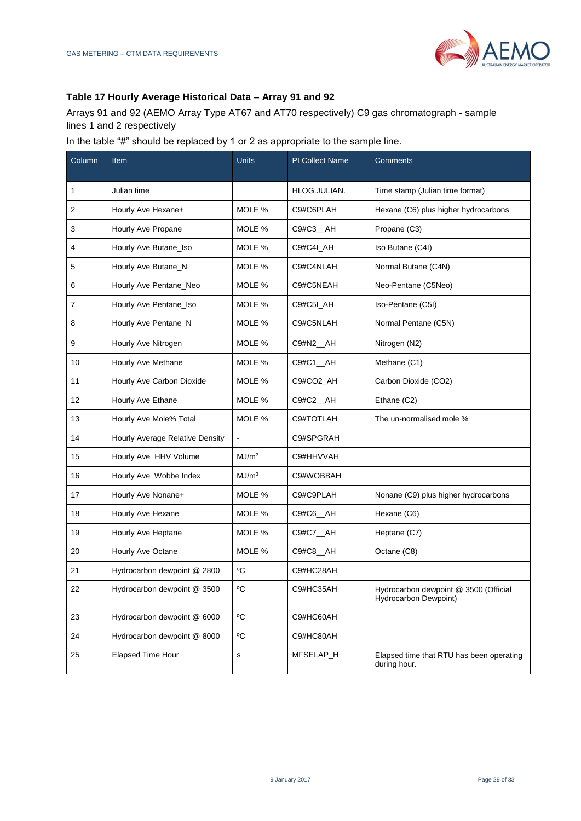

#### **Table 17 Hourly Average Historical Data – Array 91 and 92**

Arrays 91 and 92 (AEMO Array Type AT67 and AT70 respectively) C9 gas chromatograph - sample lines 1 and 2 respectively

In the table "#" should be replaced by 1 or 2 as appropriate to the sample line.

<span id="page-28-0"></span>

| Column | Item                            | <b>Units</b>      | <b>PI Collect Name</b> | Comments                                                       |
|--------|---------------------------------|-------------------|------------------------|----------------------------------------------------------------|
|        |                                 |                   |                        |                                                                |
| 1      | Julian time                     |                   | HLOG.JULIAN.           | Time stamp (Julian time format)                                |
| 2      | Hourly Ave Hexane+              | MOLE %            | C9#C6PLAH              | Hexane (C6) plus higher hydrocarbons                           |
| 3      | Hourly Ave Propane              | MOLE %            | C9#C3_AH               | Propane (C3)                                                   |
| 4      | Hourly Ave Butane_Iso           | MOLE %            | C9#C4I_AH              | Iso Butane (C4I)                                               |
| 5      | Hourly Ave Butane_N             | MOLE %            | C9#C4NLAH              | Normal Butane (C4N)                                            |
| 6      | Hourly Ave Pentane_Neo          | MOLE %            | C9#C5NEAH              | Neo-Pentane (C5Neo)                                            |
| 7      | Hourly Ave Pentane_Iso          | MOLE %            | C9#C5I_AH              | Iso-Pentane (C5I)                                              |
| 8      | Hourly Ave Pentane_N            | MOLE %            | C9#C5NLAH              | Normal Pentane (C5N)                                           |
| 9      | Hourly Ave Nitrogen             | MOLE %            | C9#N2_AH               | Nitrogen (N2)                                                  |
| 10     | Hourly Ave Methane              | MOLE %            | C9#C1 AH               | Methane (C1)                                                   |
| 11     | Hourly Ave Carbon Dioxide       | MOLE %            | C9#CO2_AH              | Carbon Dioxide (CO2)                                           |
| 12     | Hourly Ave Ethane               | MOLE %            | C9#C2_AH               | Ethane (C2)                                                    |
| 13     | Hourly Ave Mole% Total          | MOLE %            | C9#TOTLAH              | The un-normalised mole %                                       |
| 14     | Hourly Average Relative Density |                   | C9#SPGRAH              |                                                                |
| 15     | Hourly Ave HHV Volume           | MJ/m <sup>3</sup> | C9#HHVVAH              |                                                                |
| 16     | Hourly Ave Wobbe Index          | MJ/m <sup>3</sup> | C9#WOBBAH              |                                                                |
| 17     | Hourly Ave Nonane+              | MOLE %            | C9#C9PLAH              | Nonane (C9) plus higher hydrocarbons                           |
| 18     | Hourly Ave Hexane               | MOLE %            | C9#C6_AH               | Hexane (C6)                                                    |
| 19     | Hourly Ave Heptane              | MOLE %            | C9#C7_AH               | Heptane (C7)                                                   |
| 20     | Hourly Ave Octane               | MOLE %            | C9#C8_AH               | Octane (C8)                                                    |
| 21     | Hydrocarbon dewpoint @ 2800     | $^{\circ}$ C      | C9#HC28AH              |                                                                |
| 22     | Hydrocarbon dewpoint @ 3500     | $\rm ^{o}C$       | C9#HC35AH              | Hydrocarbon dewpoint @ 3500 (Official<br>Hydrocarbon Dewpoint) |
| 23     | Hydrocarbon dewpoint @ 6000     | $\rm ^{o}C$       | C9#HC60AH              |                                                                |
| 24     | Hydrocarbon dewpoint @ 8000     | $\rm ^{o}C$       | C9#HC80AH              |                                                                |
| 25     | Elapsed Time Hour               | s                 | MFSELAP_H              | Elapsed time that RTU has been operating<br>during hour.       |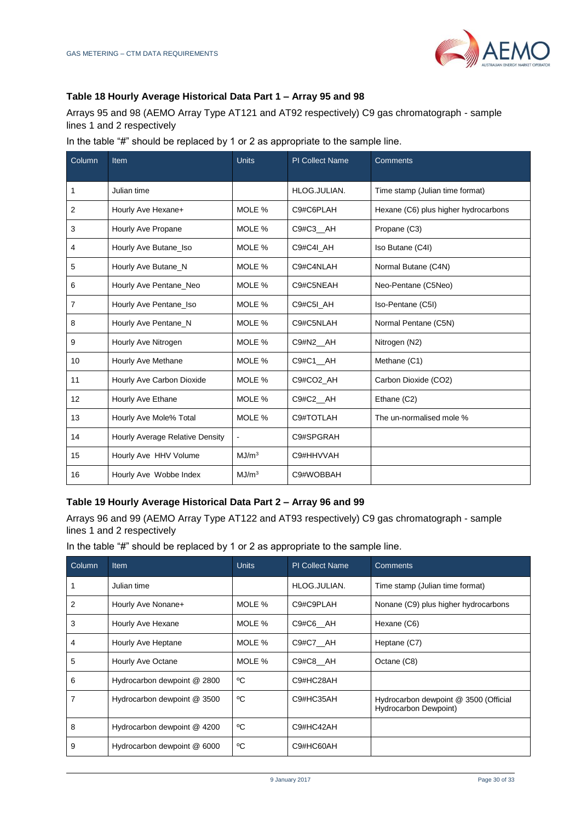

#### **Table 18 Hourly Average Historical Data Part 1 – Array 95 and 98**

Arrays 95 and 98 (AEMO Array Type AT121 and AT92 respectively) C9 gas chromatograph - sample lines 1 and 2 respectively

| In the table "#" should be replaced by 1 or 2 as appropriate to the sample line. |
|----------------------------------------------------------------------------------|
|----------------------------------------------------------------------------------|

| Column         | <b>Item</b>                     | <b>Units</b>      | <b>PI Collect Name</b> | <b>Comments</b>                      |
|----------------|---------------------------------|-------------------|------------------------|--------------------------------------|
| 1              | Julian time                     |                   | HLOG.JULIAN.           | Time stamp (Julian time format)      |
| $\overline{2}$ | Hourly Ave Hexane+              | MOLE %            | C9#C6PLAH              | Hexane (C6) plus higher hydrocarbons |
| 3              | Hourly Ave Propane              | MOLE %            | C9#C3_AH               | Propane (C3)                         |
| 4              | Hourly Ave Butane_Iso           | MOLE %            | C9#C4I AH              | Iso Butane (C4I)                     |
| 5              | Hourly Ave Butane_N             | MOLE %            | C9#C4NLAH              | Normal Butane (C4N)                  |
| 6              | Hourly Ave Pentane Neo          | MOLE %            | C9#C5NEAH              | Neo-Pentane (C5Neo)                  |
| $\overline{7}$ | Hourly Ave Pentane_Iso          | MOLE %            | C9#C5I AH              | Iso-Pentane (C5I)                    |
| 8              | Hourly Ave Pentane_N            | MOLE %            | C9#C5NLAH              | Normal Pentane (C5N)                 |
| 9              | Hourly Ave Nitrogen             | MOLE %            | C9#N2 AH               | Nitrogen (N2)                        |
| 10             | Hourly Ave Methane              | MOLE %            | C9#C1 AH               | Methane (C1)                         |
| 11             | Hourly Ave Carbon Dioxide       | MOLE %            | C9#CO2 AH              | Carbon Dioxide (CO2)                 |
| 12             | Hourly Ave Ethane               | MOLE %            | C9#C2_AH               | Ethane (C2)                          |
| 13             | Hourly Ave Mole% Total          | MOLE %            | C9#TOTLAH              | The un-normalised mole %             |
| 14             | Hourly Average Relative Density |                   | C9#SPGRAH              |                                      |
| 15             | Hourly Ave HHV Volume           | MJ/m <sup>3</sup> | C9#HHVVAH              |                                      |
| 16             | Hourly Ave Wobbe Index          | MJ/m <sup>3</sup> | C9#WOBBAH              |                                      |

#### **Table 19 Hourly Average Historical Data Part 2 – Array 96 and 99**

Arrays 96 and 99 (AEMO Array Type AT122 and AT93 respectively) C9 gas chromatograph - sample lines 1 and 2 respectively

In the table "#" should be replaced by 1 or 2 as appropriate to the sample line.

| Column | Item                        | <b>Units</b> | <b>PI Collect Name</b> | Comments                                                              |
|--------|-----------------------------|--------------|------------------------|-----------------------------------------------------------------------|
|        | Julian time                 |              | HLOG.JULIAN.           | Time stamp (Julian time format)                                       |
| 2      | Hourly Ave Nonane+          | MOLE %       | C9#C9PLAH              | Nonane (C9) plus higher hydrocarbons                                  |
| 3      | Hourly Ave Hexane           | MOLE %       | C9#C6 AH               | Hexane (C6)                                                           |
| 4      | Hourly Ave Heptane          | MOLE %       | C9#C7_AH               | Heptane (C7)                                                          |
| 5      | Hourly Ave Octane           | MOLE %       | C9#C8 AH               | Octane (C8)                                                           |
| 6      | Hydrocarbon dewpoint @ 2800 | °C           | C9#HC28AH              |                                                                       |
| 7      | Hydrocarbon dewpoint @ 3500 | °C           | C9#HC35AH              | Hydrocarbon dewpoint @ 3500 (Official<br><b>Hydrocarbon Dewpoint)</b> |
| 8      | Hydrocarbon dewpoint @ 4200 | ٥C           | C9#HC42AH              |                                                                       |
| 9      | Hydrocarbon dewpoint @ 6000 | °C           | C9#HC60AH              |                                                                       |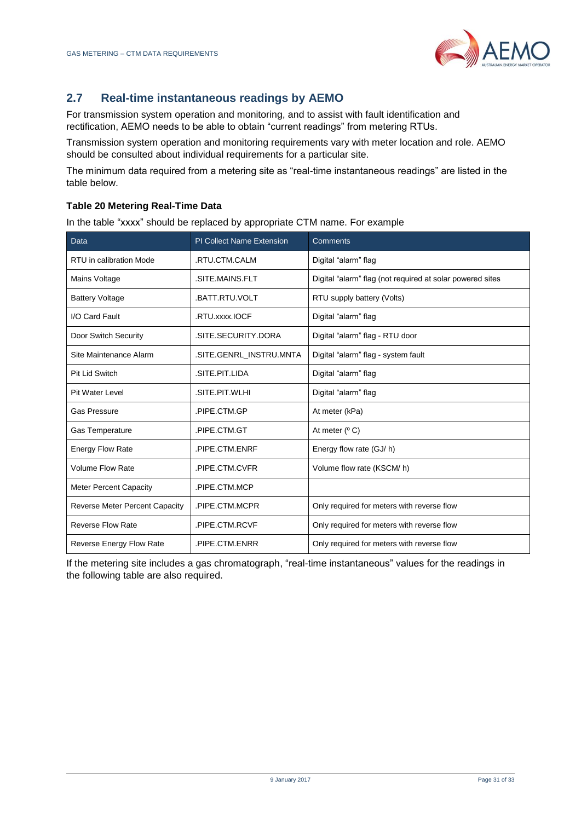

# **2.7 Real-time instantaneous readings by AEMO**

For transmission system operation and monitoring, and to assist with fault identification and rectification, AEMO needs to be able to obtain "current readings" from metering RTUs.

Transmission system operation and monitoring requirements vary with meter location and role. AEMO should be consulted about individual requirements for a particular site.

The minimum data required from a metering site as "real-time instantaneous readings" are listed in the table below.

#### **Table 20 Metering Real-Time Data**

In the table "xxxx" should be replaced by appropriate CTM name. For example

| Data                                  | <b>PI Collect Name Extension</b> | Comments                                                  |
|---------------------------------------|----------------------------------|-----------------------------------------------------------|
| RTU in calibration Mode               | .RTU.CTM.CALM                    | Digital "alarm" flag                                      |
| Mains Voltage                         | .SITE.MAINS.FLT                  | Digital "alarm" flag (not required at solar powered sites |
| <b>Battery Voltage</b>                | .BATT.RTU.VOLT                   | RTU supply battery (Volts)                                |
| I/O Card Fault                        | .RTU.xxxx.IOCF                   | Digital "alarm" flag                                      |
| Door Switch Security                  | .SITE.SECURITY.DORA              | Digital "alarm" flag - RTU door                           |
| Site Maintenance Alarm                | .SITE.GENRL_INSTRU.MNTA          | Digital "alarm" flag - system fault                       |
| <b>Pit Lid Switch</b>                 | .SITE.PIT.LIDA                   | Digital "alarm" flag                                      |
| <b>Pit Water Level</b>                | .SITE.PIT.WLHI                   | Digital "alarm" flag                                      |
| <b>Gas Pressure</b>                   | PIPE.CTM.GP                      | At meter (kPa)                                            |
| <b>Gas Temperature</b>                | .PIPE.CTM.GT                     | At meter $(° C)$                                          |
| <b>Energy Flow Rate</b>               | PIPE.CTM.ENRF                    | Energy flow rate (GJ/h)                                   |
| <b>Volume Flow Rate</b>               | .PIPE.CTM.CVFR                   | Volume flow rate (KSCM/h)                                 |
| <b>Meter Percent Capacity</b>         | PIPE.CTM.MCP                     |                                                           |
| <b>Reverse Meter Percent Capacity</b> | .PIPE.CTM.MCPR                   | Only required for meters with reverse flow                |
| <b>Reverse Flow Rate</b>              | .PIPE.CTM.RCVF                   | Only required for meters with reverse flow                |
| Reverse Energy Flow Rate              | PIPE.CTM.ENRR                    | Only required for meters with reverse flow                |

If the metering site includes a gas chromatograph, "real-time instantaneous" values for the readings in the following table are also required.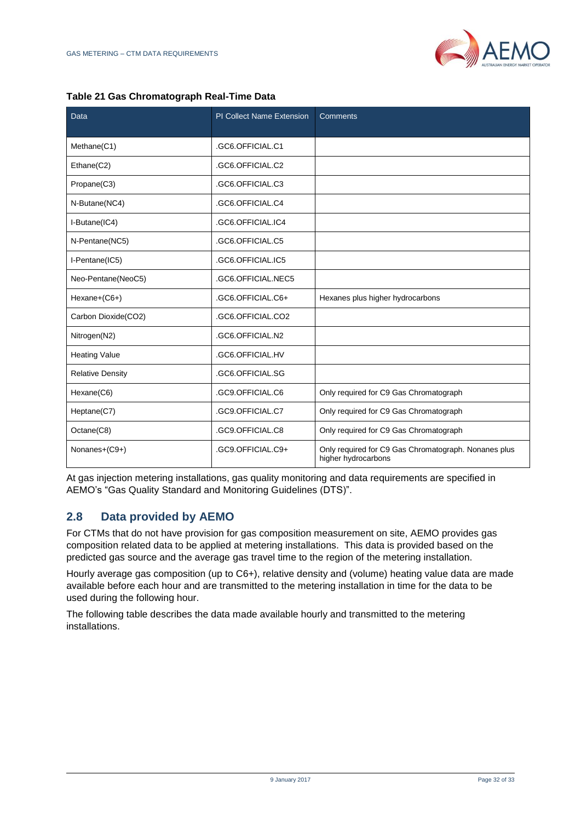

|  | Table 21 Gas Chromatograph Real-Time Data |  |
|--|-------------------------------------------|--|
|  |                                           |  |

| Data                    | <b>PI Collect Name Extension</b> | Comments                                                                    |
|-------------------------|----------------------------------|-----------------------------------------------------------------------------|
|                         |                                  |                                                                             |
| Methane(C1)             | .GC6.OFFICIAL.C1                 |                                                                             |
| Ethane(C2)              | .GC6.OFFICIAL.C2                 |                                                                             |
| Propane(C3)             | .GC6.OFFICIAL.C3                 |                                                                             |
| N-Butane(NC4)           | .GC6.OFFICIAL.C4                 |                                                                             |
| I-Butane(IC4)           | .GC6.OFFICIAL.IC4                |                                                                             |
| N-Pentane(NC5)          | .GC6.OFFICIAL.C5                 |                                                                             |
| I-Pentane(IC5)          | .GC6.OFFICIAL.IC5                |                                                                             |
| Neo-Pentane(NeoC5)      | .GC6.OFFICIAL.NEC5               |                                                                             |
| Hexane+(C6+)            | .GC6.OFFICIAL.C6+                | Hexanes plus higher hydrocarbons                                            |
| Carbon Dioxide(CO2)     | .GC6.OFFICIAL.CO2                |                                                                             |
| Nitrogen(N2)            | .GC6.OFFICIAL.N2                 |                                                                             |
| <b>Heating Value</b>    | .GC6.OFFICIAL.HV                 |                                                                             |
| <b>Relative Density</b> | .GC6.OFFICIAL.SG                 |                                                                             |
| Hexane(C6)              | .GC9.OFFICIAL.C6                 | Only required for C9 Gas Chromatograph                                      |
| Heptane(C7)             | .GC9.OFFICIAL.C7                 | Only required for C9 Gas Chromatograph                                      |
| Octane(C8)              | .GC9.OFFICIAL.C8                 | Only required for C9 Gas Chromatograph                                      |
| Nonanes+(C9+)           | .GC9.OFFICIAL.C9+                | Only required for C9 Gas Chromatograph. Nonanes plus<br>higher hydrocarbons |

At gas injection metering installations, gas quality monitoring and data requirements are specified in AEMO's "Gas Quality Standard and Monitoring Guidelines (DTS)".

#### <span id="page-31-0"></span>**2.8 Data provided by AEMO**

For CTMs that do not have provision for gas composition measurement on site, AEMO provides gas composition related data to be applied at metering installations. This data is provided based on the predicted gas source and the average gas travel time to the region of the metering installation.

Hourly average gas composition (up to C6+), relative density and (volume) heating value data are made available before each hour and are transmitted to the metering installation in time for the data to be used during the following hour.

The following table describes the data made available hourly and transmitted to the metering installations.